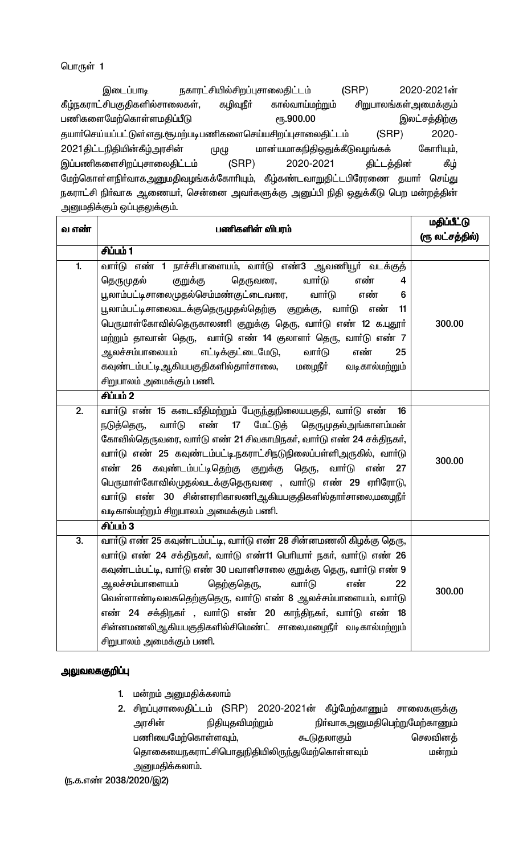நகாரட்சியில்சிறப்புசாலைதிட்டம்  $(SRP)$ 2020-2021ன் இடைப்பாடி கீழ்நகராட்சிபகுதிகளில்சாலைகள், கழிவுநீர் கால்வாய்மற்றும் சிறுபாலங்கள் அமைக்கும் பணிகளைமேற்கொள்ளமதிப்பீடு **е**ђ.900.00 இலட்சத்திற்கு தயாா்செய்யப்பட்டுள்ளது.சூமற்படிபணிகளைசெய்யசிறப்புசாலைதிட்டம் 2020- $(SRP)$ கோரியும், 2021 திட்டநிதியின்கீழ்அரசின் மான்யமாகநிதிஒதுக்கீடுவழங்கக் முழு இப்பணிகளைசிறப்புசாலைதிட்டம்  $(SRP)$ 2020-2021 திட்டத்தின் கீழ் மேற்கொள்ளநிர்வாகஅனுமதிவழங்கக்கோரியும், கீழ்கண்டவாறுதிட்டபிரேரணை தயார் செய்து நகராட்சி நிா்வாக ஆணையா், சென்னை அவா்களுக்கு அனுப்பி நிதி ஒதுக்கீடு பெற மன்றத்தின் அனுமதிக்கும் ஒப்புதலுக்கும்.

| வ எண்            | பணிகளின் விபரம்                                                                                                                                                                                                                                                                                                                                                                                                                                                                                                                                              | <u>மதிப்பீட்டு</u><br>(ரூலட்சத்தில்) |
|------------------|--------------------------------------------------------------------------------------------------------------------------------------------------------------------------------------------------------------------------------------------------------------------------------------------------------------------------------------------------------------------------------------------------------------------------------------------------------------------------------------------------------------------------------------------------------------|--------------------------------------|
|                  | சிப்பம் 1                                                                                                                                                                                                                                                                                                                                                                                                                                                                                                                                                    |                                      |
| 1.               | வாா்டு எண் 1 நாச்சிபாளையம், வாா்டு எண்3 ஆவணியூா் வடக்குத்<br>தெருமுதல்<br>வார்டு<br>குறுக்கு<br>தெருவரை,<br>எண்<br>4<br>பூலாம்பட்டிசாலைமுதல்செம்மண்குட்டைவரை,<br>வார்டு<br>எண்<br>6<br>பூலாம்பட்டிசாலைவடக்குதெருமுதல்தெற்கு குறுக்கு,<br>வாா்டு<br>எண்<br>11<br>பெருமாள்கோவில்தெருகாலணி குறுக்கு தெரு, வாா்டு எண் 12 க.புதூா்<br>மற்றும் தாவான் தெரு, வாா்டு எண் 14 குலாளா் தெரு, வாா்டு எண் 7<br>எட்டிக்குட்டைமேடு,<br>வார்டு<br>எண்<br>ஆலச்சம்பாலையம்<br>25<br>கவுண்டம்பட்டி ஆகியபகுதிகளில்தாா்சாலை, மழைநீா்<br>வடிகால்மற்றும்<br>சிறுபாலம் அமைக்கும் பணி. | 300.00                               |
|                  | சிப்பம் 2                                                                                                                                                                                                                                                                                                                                                                                                                                                                                                                                                    |                                      |
| $\overline{2}$ . | வாா்டு எண் 15 கடைவீதிமற்றும் பேருந்துநிலையபகுதி, வாா்டு எண்<br>16<br>வாா்டு<br>மேட்டுத் தெருமுதல்அங்காளம்மன்<br>எண்<br>17<br>நடுத்தெரு,<br>கோவில்தெருவரை, வார்டு எண் 21 சிவகாமிநகர், வார்டு எண் 24 சக்திநகர்,<br>வாா்டு எண் 25 கவுண்டம்பட்டி.நகராட்சிநடுநிலைப்பள்ளிஅருகில், வாா்டு<br>கவுண்டம்பட்டிதெற்கு குறுக்கு தெரு,<br>எண்<br>வாா்டு<br>எண்<br>27<br>26<br>பெருமாள்கோவில்முதல்வடக்குதெருவரை , வாா்டு எண் 29 ஏாிரோடு,<br>வாா்டு எண் 30 சின்னஏாிகாலணிஆகியபகுதிகளில்தாா்சாலை,மழைநீா்<br>வடிகால்மற்றும் சிறுபாலம் அமைக்கும் பணி.                            | 300.00                               |
|                  | சிப்பம் 3                                                                                                                                                                                                                                                                                                                                                                                                                                                                                                                                                    |                                      |
| 3.               | வாா்டு எண் 25 கவுண்டம்பட்டி, வாா்டு எண் 28 சின்னமணலி கிழக்கு தெரு,<br>வார்டு எண் 24 சக்திநகர், வார்டு எண்11 பெரியார் நகர், வார்டு எண் 26<br>கவுண்டம்பட்டி, வாா்டு எண் 30 பவானிசாலை குறுக்கு தெரு, வாா்டு எண் 9<br>ஆலச்சம்பாளையம்<br>வார்டு<br>எண்<br>தெற்குதெரு,<br>22<br>வெள்ளாண்டிவலசுதெற்குதெரு, வாா்டு எண் 8 ஆலச்சம்பாளையம், வாா்டு<br>எண் 24 சக்திநகர் , வார்டு எண் 20 காந்திநகர், வார்டு எண் 18<br>சின்னமணலிஆகியபகுதிகளில்சிமெண்ட் சாலை,மழைநீா் வடிகால்மற்றும்<br>சிறுபாலம் அமைக்கும் பணி.                                                             | 300.00                               |

### <u>அலுவலககுறிப்பு</u>

- 1. மன்றம் அனுமதிக்கலாம்
- 2. சிறப்புசாலைதிட்டம் (SRP) 2020-2021ன் கீழ்மேற்காணும் சாலைகளுக்கு நிா்வாகஅனுமதிபெற்றுமேற்காணும் அரசின் நிதியுதவிமற்றும் பணியைமேற்கொள்ளவும், கூடுதலாகும் செலவினத் தொகையைநகராட்சிபொதுநிதியிலிருந்துமேற்கொள்ளவும் மன்றம் அனுமதிக்கலாம்.

<sup>(</sup>ந.க.எண் 2038/2020/இ2)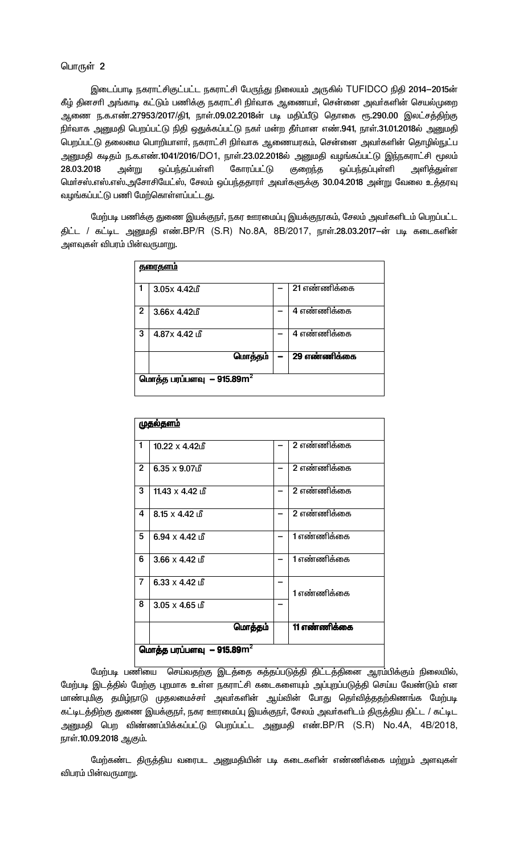இடைப்பாடி நகராட்சிகுட்பட்ட நகராட்சி பேருந்து நிலையம் அருகில் TUFIDCO நிதி 2014-2015ன் கீழ் தினசாி அங்காடி கட்டும் பணிக்கு நகராட்சி நிர்வாக ஆணையர், சென்னை அவர்களின் செயல்முறை ஆணை ந.க.எண்.27953/2017/தி1, நாள்.09.02.2018ன் படி மதிப்பீடு தொகை ரூ.290.00 இலட்சத்திற்கு நிர்வாக அனுமதி பெறப்பட்டு நிதி ஒதுக்கப்பட்டு நகர் மன்ற தீர்மான எண்.941, நாள்.31.01.2018ல் அனுமதி பெறப்பட்டு தலைமை பொறியாளா், நகராட்சி நிா்வாக ஆணையரகம், சென்னை அவா்களின் தொழில்நுட்ப அனுமதி கடிதம் ந.க.எண்.1041/2016/DO1, நாள்.23.02.2018ல் அனுமதி வழங்கப்பட்டு இந்நகராட்சி மூலம் 28.03.2018 அன்று ஒப்பந்தப்பள்ளி கோரப்பட்டு குறைந்த ஒப்பந்தப்புள்ளி அளித்துள்ள மெர்சஸ்.எஸ்.எஸ்.அசோசியேட்ஸ், சேலம் ஒப்பந்ததாரர் அவர்களுக்கு 30.04.2018 அன்று வேலை உத்தரவு வழங்கப்பட்டு பணி மேற்கொள்ளப்பட்டது.

மேற்படி பணிக்கு துணை இயக்குநா், நகர ஊரமைப்பு இயக்குநரகம், சேலம் அவா்களிடம் பெறப்பட்ட திட்ட / கட்டிட அனுமதி எண்.BP/R (S.R) No.8A, 8B/2017, நாள்.28.03.2017-ன் படி கடைகளின் அளவுகள் விபரம் பின்வருமாறு.

|                | <u>தரைகளம்</u>                        |                           |
|----------------|---------------------------------------|---------------------------|
|                |                                       |                           |
| 1              | $3.05x$ 4.42 $\mathbb{d}$             | $\overline{21}$ எண்ணிக்கை |
|                |                                       |                           |
|                |                                       |                           |
| $\overline{2}$ | $3.66x$ 4.42 $\mathrm{f}$             | $\overline{4}$ எண்ணிக்கை  |
|                |                                       |                           |
|                |                                       |                           |
| 3              | $4.87x$ $4.42$ $n$                    | 4 எண்ணிக்கை               |
|                |                                       |                           |
|                |                                       |                           |
|                | மொத்தம்                               | 29 எண்ணிக்கை              |
|                |                                       |                           |
|                |                                       |                           |
|                | மொத்த பரப்பளவு – 915.89m <sup>2</sup> |                           |
|                |                                       |                           |
|                |                                       |                           |

|                | <u>முதல்தளம்</u>                         |              |
|----------------|------------------------------------------|--------------|
|                |                                          |              |
| 1              | $10.22 \times 4.42$                      | 2 எண்ணிக்கை  |
|                |                                          |              |
| $\overline{2}$ | $6.35 \times 9.07$                       | 2 எண்ணிக்கை  |
|                |                                          |              |
| 3              | 11.43 $\times$ 4.42 மீ                   | 2 எண்ணிக்கை  |
|                |                                          |              |
| 4              | $8.15 \times 4.42$ in                    | 2 எண்ணிக்கை  |
|                |                                          |              |
| 5              | $6.94 \times 4.42$ In                    | 1 எண்ணிக்கை  |
|                |                                          |              |
| 6              | $3.66 \times 4.42 \text{ if}$            | 1 எண்ணிக்கை  |
|                |                                          |              |
| $\overline{7}$ | $6.33 \times 4.42 \text{ if }$           |              |
|                |                                          | 1 எண்ணிக்கை  |
| 8              | $3.05 \times 4.65$ மீ                    |              |
|                |                                          |              |
|                | மொத்தம்                                  | 11 எண்ணிக்கை |
|                |                                          |              |
|                | மொத்த பரப்பளவு $-$ 915.89 $\mathrm{m}^2$ |              |
|                |                                          |              |

மேற்படி பணியை செய்வதற்கு இடத்தை சுத்தப்படுத்தி திட்டத்தினை ஆரம்பிக்கும் நிலையில், மேற்படி இடத்தில் மேற்கு புறமாக உள்ள நகராட்சி கடைகளையும் அப்புறப்படுத்தி செய்ய வேண்டும் என மாண்புமிகு தமிழ்நாடு முதலமைச்சா் அவா்களின் ஆய்வின் போது தொ்வித்ததற்கிணங்க மேற்படி ் கட்டிடத்திற்கு துணை இயக்குநா், நகர ஊரமைப்பு இயக்குநா், சேலம் அவா்களிடம் திருத்திய திட்ட / கட்டிட அனுமதி பெற விண்ணப்பிக்கப்பட்டு பெறப்பட்ட அனுமதி எண்.BP/R (S.R) No.4A, 4B/2018, நாள்.10.09.2018 ஆகும்.

மேற்கண்ட திருத்திய வரைபட அனுமதியின் படி கடைகளின் எண்ணிக்கை மற்றும் அளவுகள் விபரம் பின்வருமாறு.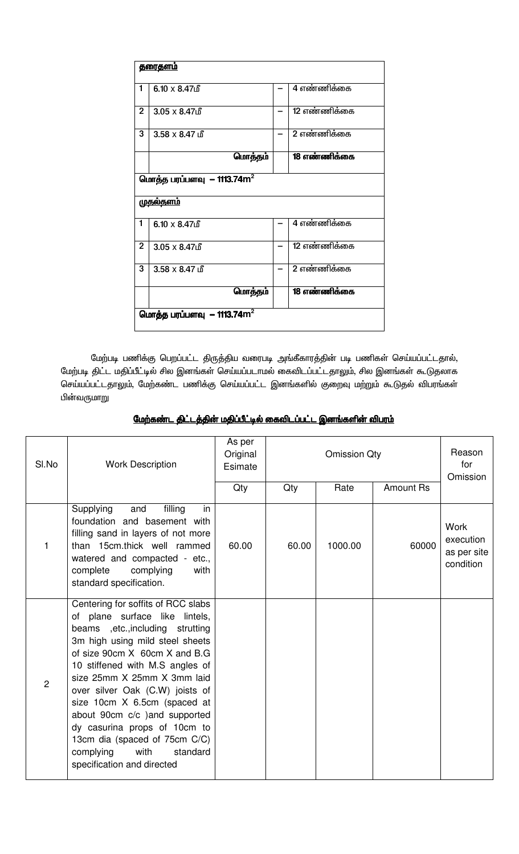|                | <u>தரைதளம்</u>                           |              |
|----------------|------------------------------------------|--------------|
| 1              | $6.10 \times 8.47$                       | 4 எண்ணிக்கை  |
| $\overline{2}$ | $3.05 \times 8.47$ மீ                    | 12 எண்ணிக்கை |
| 3              | $3.58 \times 8.47$ in                    | 2 எண்ணிக்கை  |
|                | மொத்தம்                                  | 18 எண்ணிக்கை |
|                | மொத்த பரப்பளவு  – 1113.74 $\mathrm{m}^2$ |              |
|                | <u>முதல்தளம்</u>                         |              |
| 1              | $6.10 \times 8.47$                       | 4 எண்ணிக்கை  |
| $\overline{2}$ | $3.05 \times 8.47$                       | 12 எண்ணிக்கை |
| 3              | $3.58 \times 8.47$ in                    | 2 எண்ணிக்கை  |
|                | மொத்தம்                                  | 18 எண்ணிக்கை |
|                | மொத்த பரப்பளவு  — 1113.74 $\mathsf{m}^2$ |              |

மேற்படி பணிக்கு பெறப்பட்ட திருத்திய வரைபடி அங்கீகாரத்தின் படி பணிகள் செய்யப்பட்டதால், மேற்படி திட்ட மதிப்பீட்டில் சில இனங்கள் செய்யப்படாமல் கைவிடப்பட்டதாலும், சில இனங்கள் கூடுதலாக செய்யப்பட்டதாலும், மேற்கண்ட பணிக்கு செய்யப்பட்ட இனங்களில் குறைவு மற்றும் கூடுதல் விபரங்கள் பின்வருமாறு

|  | மேற்கண்ட திட்டத்தின் மதிப்பீட்டில் கைவிடப்பட்ட இனங்களின் விபரம் |  |
|--|-----------------------------------------------------------------|--|
|  |                                                                 |  |

| SI.No          | <b>Work Description</b>                                                                                                                                                                                                                                                                                                                                                                                                                                                            | As per<br>Original<br>Esimate | <b>Omission Qty</b> |         | Reason<br>for<br>Omission |                                                      |
|----------------|------------------------------------------------------------------------------------------------------------------------------------------------------------------------------------------------------------------------------------------------------------------------------------------------------------------------------------------------------------------------------------------------------------------------------------------------------------------------------------|-------------------------------|---------------------|---------|---------------------------|------------------------------------------------------|
|                |                                                                                                                                                                                                                                                                                                                                                                                                                                                                                    | Qty                           | Qty                 | Rate    | <b>Amount Rs</b>          |                                                      |
| 1              | filling<br>Supplying<br>in<br>and<br>foundation and basement with<br>filling sand in layers of not more<br>than 15cm.thick well rammed<br>watered and compacted - etc.,<br>complying<br>complete<br>with<br>standard specification.                                                                                                                                                                                                                                                | 60.00                         | 60.00               | 1000.00 | 60000                     | <b>Work</b><br>execution<br>as per site<br>condition |
| $\overline{2}$ | Centering for soffits of RCC slabs<br>of plane surface like lintels,<br>beams ,etc., including strutting<br>3m high using mild steel sheets<br>of size 90cm X 60cm X and B.G<br>10 stiffened with M.S angles of<br>size 25mm X 25mm X 3mm laid<br>over silver Oak (C.W) joists of<br>size 10cm X 6.5cm (spaced at<br>about 90cm c/c )and supported<br>dy casurina props of 10cm to<br>13cm dia (spaced of 75cm C/C)<br>complying<br>with<br>standard<br>specification and directed |                               |                     |         |                           |                                                      |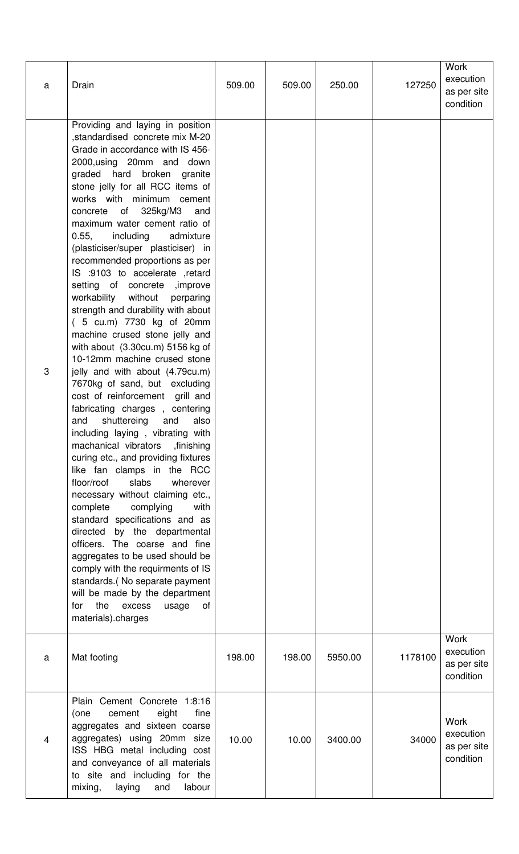| $\mathsf a$ | Drain                                                                                                                                                                                                                                                                                                                                                                                                                                                                                                                                                                                                                                                                                                                                                                                                                                                                                                                                                                                                                                                                                                                                                                                                                                                                                                                                                                                                                                                      | 509.00 | 509.00 | 250.00  | 127250  | <b>Work</b><br>execution<br>as per site<br>condition |
|-------------|------------------------------------------------------------------------------------------------------------------------------------------------------------------------------------------------------------------------------------------------------------------------------------------------------------------------------------------------------------------------------------------------------------------------------------------------------------------------------------------------------------------------------------------------------------------------------------------------------------------------------------------------------------------------------------------------------------------------------------------------------------------------------------------------------------------------------------------------------------------------------------------------------------------------------------------------------------------------------------------------------------------------------------------------------------------------------------------------------------------------------------------------------------------------------------------------------------------------------------------------------------------------------------------------------------------------------------------------------------------------------------------------------------------------------------------------------------|--------|--------|---------|---------|------------------------------------------------------|
| 3           | Providing and laying in position<br>,standardised concrete mix M-20<br>Grade in accordance with IS 456-<br>2000, using 20mm and down<br>graded hard broken granite<br>stone jelly for all RCC items of<br>works with minimum cement<br>of<br>325kg/M3<br>and<br>concrete<br>maximum water cement ratio of<br>0.55,<br>including<br>admixture<br>(plasticiser/super plasticiser) in<br>recommended proportions as per<br>IS :9103 to accelerate ,retard<br>setting of concrete , improve<br>workability without perparing<br>strength and durability with about<br>(5 cu.m) 7730 kg of 20mm<br>machine crused stone jelly and<br>with about $(3.30cu.m)$ 5156 kg of<br>10-12mm machine crused stone<br>jelly and with about (4.79cu.m)<br>7670kg of sand, but excluding<br>cost of reinforcement grill and<br>fabricating charges, centering<br>shuttereing<br>and<br>also<br>and<br>including laying, vibrating with<br>machanical vibrators<br>finishing,<br>curing etc., and providing fixtures<br>like fan clamps in the RCC<br>slabs<br>floor/roof<br>wherever<br>necessary without claiming etc.,<br>complete<br>complying<br>with<br>standard specifications and as<br>directed by the departmental<br>officers. The coarse and fine<br>aggregates to be used should be<br>comply with the requirments of IS<br>standards.(No separate payment<br>will be made by the department<br>the<br>excess<br><b>of</b><br>for<br>usage<br>materials).charges |        |        |         |         |                                                      |
| a           | Mat footing                                                                                                                                                                                                                                                                                                                                                                                                                                                                                                                                                                                                                                                                                                                                                                                                                                                                                                                                                                                                                                                                                                                                                                                                                                                                                                                                                                                                                                                | 198.00 | 198.00 | 5950.00 | 1178100 | <b>Work</b><br>execution<br>as per site<br>condition |
| 4           | Plain Cement Concrete 1:8:16<br>eight<br>cement<br>fine<br>(one<br>aggregates and sixteen coarse<br>aggregates) using 20mm size<br>ISS HBG metal including cost<br>and conveyance of all materials<br>to site and including for the<br>labour<br>mixing,<br>laying<br>and                                                                                                                                                                                                                                                                                                                                                                                                                                                                                                                                                                                                                                                                                                                                                                                                                                                                                                                                                                                                                                                                                                                                                                                  | 10.00  | 10.00  | 3400.00 | 34000   | <b>Work</b><br>execution<br>as per site<br>condition |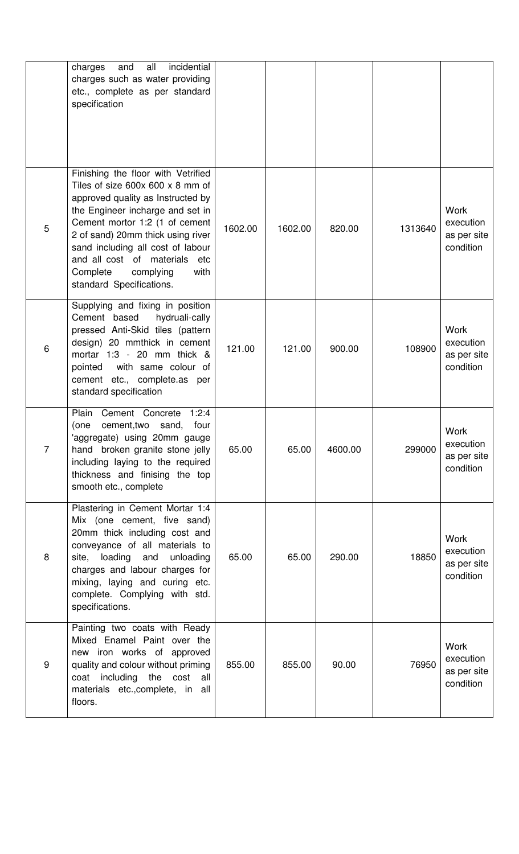|                | incidential<br>all<br>charges<br>and<br>charges such as water providing<br>etc., complete as per standard<br>specification                                                                                                                                                                                                                                  |         |         |         |         |                                                      |
|----------------|-------------------------------------------------------------------------------------------------------------------------------------------------------------------------------------------------------------------------------------------------------------------------------------------------------------------------------------------------------------|---------|---------|---------|---------|------------------------------------------------------|
| 5              | Finishing the floor with Vetrified<br>Tiles of size $600x 600 x 8$ mm of<br>approved quality as Instructed by<br>the Engineer incharge and set in<br>Cement mortor 1:2 (1 of cement<br>2 of sand) 20mm thick using river<br>sand including all cost of labour<br>and all cost of materials etc<br>Complete<br>complying<br>with<br>standard Specifications. | 1602.00 | 1602.00 | 820.00  | 1313640 | <b>Work</b><br>execution<br>as per site<br>condition |
| 6              | Supplying and fixing in position<br>Cement based<br>hydruali-cally<br>pressed Anti-Skid tiles (pattern<br>design) 20 mmthick in cement<br>mortar $1:3 - 20$ mm thick $\&$<br>pointed<br>with same colour of<br>cement etc., complete.as per<br>standard specification                                                                                       | 121.00  | 121.00  | 900.00  | 108900  | <b>Work</b><br>execution<br>as per site<br>condition |
| $\overline{7}$ | Plain Cement Concrete<br>1:2:4<br>cement, two<br>sand,<br>four<br>(one<br>'aggregate) using 20mm gauge<br>hand broken granite stone jelly<br>including laying to the required<br>thickness and finising the top<br>smooth etc., complete                                                                                                                    | 65.00   | 65.00   | 4600.00 | 299000  | Work<br>execution<br>as per site<br>condition        |
| 8              | Plastering in Cement Mortar 1:4<br>Mix (one cement, five sand)<br>20mm thick including cost and<br>conveyance of all materials to<br>loading<br>and<br>unloading<br>site,<br>charges and labour charges for<br>mixing, laying and curing etc.<br>complete. Complying with std.<br>specifications.                                                           | 65.00   | 65.00   | 290.00  | 18850   | Work<br>execution<br>as per site<br>condition        |
| 9              | Painting two coats with Ready<br>Mixed Enamel Paint over the<br>new iron works of approved<br>quality and colour without priming<br>coat including the cost all<br>materials etc., complete, in all<br>floors.                                                                                                                                              | 855.00  | 855.00  | 90.00   | 76950   | Work<br>execution<br>as per site<br>condition        |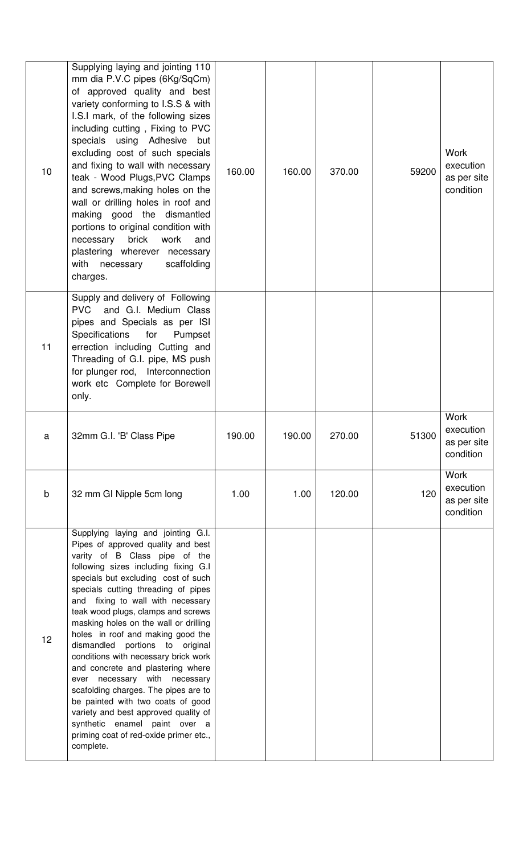| 10          | Supplying laying and jointing 110<br>mm dia P.V.C pipes (6Kg/SqCm)<br>of approved quality and best<br>variety conforming to I.S.S & with<br>I.S.I mark, of the following sizes<br>including cutting, Fixing to PVC<br>specials using Adhesive<br>but<br>excluding cost of such specials<br>and fixing to wall with necessary<br>teak - Wood Plugs, PVC Clamps<br>and screws, making holes on the<br>wall or drilling holes in roof and<br>making good the dismantled<br>portions to original condition with<br>brick<br>work<br>necessary<br>and<br>plastering wherever necessary<br>scaffolding<br>with necessary<br>charges. | 160.00 | 160.00 | 370.00 | 59200 | <b>Work</b><br>execution<br>as per site<br>condition |
|-------------|--------------------------------------------------------------------------------------------------------------------------------------------------------------------------------------------------------------------------------------------------------------------------------------------------------------------------------------------------------------------------------------------------------------------------------------------------------------------------------------------------------------------------------------------------------------------------------------------------------------------------------|--------|--------|--------|-------|------------------------------------------------------|
| 11          | Supply and delivery of Following<br><b>PVC</b><br>and G.I. Medium Class<br>pipes and Specials as per ISI<br>Specifications<br>for<br>Pumpset<br>errection including Cutting and<br>Threading of G.I. pipe, MS push<br>for plunger rod, Interconnection<br>work etc Complete for Borewell<br>only.                                                                                                                                                                                                                                                                                                                              |        |        |        |       |                                                      |
| а           | 32mm G.I. 'B' Class Pipe                                                                                                                                                                                                                                                                                                                                                                                                                                                                                                                                                                                                       | 190.00 | 190.00 | 270.00 | 51300 | <b>Work</b><br>execution<br>as per site<br>condition |
| $\mathsf b$ |                                                                                                                                                                                                                                                                                                                                                                                                                                                                                                                                                                                                                                |        |        |        |       | <b>Work</b>                                          |
|             | 32 mm GI Nipple 5cm long                                                                                                                                                                                                                                                                                                                                                                                                                                                                                                                                                                                                       | 1.00   | 1.00   | 120.00 | 120   | execution<br>as per site<br>condition                |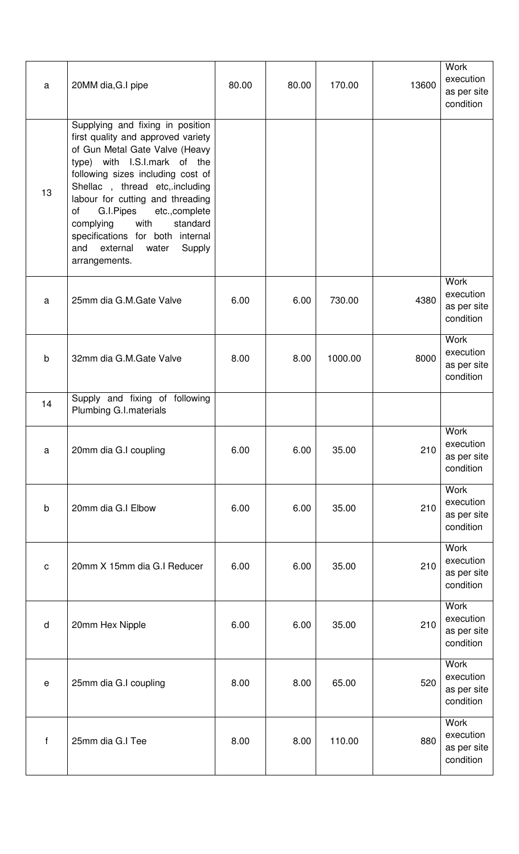| a            | 20MM dia, G.I pipe                                                                                                                                                                                                                                                                                                                                                                                                | 80.00 | 80.00 | 170.00  | 13600 | <b>Work</b><br>execution<br>as per site<br>condition |
|--------------|-------------------------------------------------------------------------------------------------------------------------------------------------------------------------------------------------------------------------------------------------------------------------------------------------------------------------------------------------------------------------------------------------------------------|-------|-------|---------|-------|------------------------------------------------------|
| 13           | Supplying and fixing in position<br>first quality and approved variety<br>of Gun Metal Gate Valve (Heavy<br>type) with I.S.I.mark of the<br>following sizes including cost of<br>Shellac, thread etc, including<br>labour for cutting and threading<br>G.I.Pipes etc., complete<br>of<br>standard<br>with<br>complying<br>specifications for both internal<br>external<br>Supply<br>and<br>water<br>arrangements. |       |       |         |       |                                                      |
| a            | 25mm dia G.M.Gate Valve                                                                                                                                                                                                                                                                                                                                                                                           | 6.00  | 6.00  | 730.00  | 4380  | <b>Work</b><br>execution<br>as per site<br>condition |
| $\mathsf b$  | 32mm dia G.M.Gate Valve                                                                                                                                                                                                                                                                                                                                                                                           | 8.00  | 8.00  | 1000.00 | 8000  | Work<br>execution<br>as per site<br>condition        |
| 14           | Supply and fixing of following<br>Plumbing G.I.materials                                                                                                                                                                                                                                                                                                                                                          |       |       |         |       |                                                      |
| a            | 20mm dia G.I coupling                                                                                                                                                                                                                                                                                                                                                                                             | 6.00  | 6.00  | 35.00   | 210   | <b>Work</b><br>execution<br>as per site<br>condition |
| $\sf b$      | 20mm dia G.I Elbow                                                                                                                                                                                                                                                                                                                                                                                                | 6.00  | 6.00  | 35.00   | 210   | <b>Work</b><br>execution<br>as per site<br>condition |
| $\mathbf C$  | 20mm X 15mm dia G.I Reducer                                                                                                                                                                                                                                                                                                                                                                                       | 6.00  | 6.00  | 35.00   | 210   | <b>Work</b><br>execution<br>as per site<br>condition |
| $\mathsf{d}$ | 20mm Hex Nipple                                                                                                                                                                                                                                                                                                                                                                                                   | 6.00  | 6.00  | 35.00   | 210   | Work<br>execution<br>as per site<br>condition        |
| $\mathsf e$  | 25mm dia G.I coupling                                                                                                                                                                                                                                                                                                                                                                                             | 8.00  | 8.00  | 65.00   | 520   | <b>Work</b><br>execution<br>as per site<br>condition |
| $\mathsf{f}$ | 25mm dia G.I Tee                                                                                                                                                                                                                                                                                                                                                                                                  | 8.00  | 8.00  | 110.00  | 880   | Work<br>execution<br>as per site<br>condition        |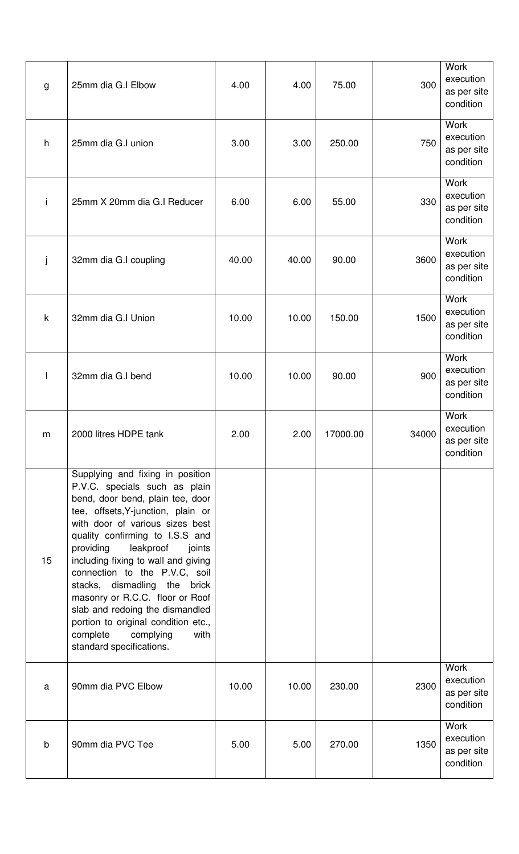| g           | 25mm dia G.I Elbow                                                                                                                                                                                                                                                                                                                                                                                                                                                                                                                            | 4.00  | 4.00  | 75.00    | 300   | Work<br>execution<br>as per site<br>condition        |
|-------------|-----------------------------------------------------------------------------------------------------------------------------------------------------------------------------------------------------------------------------------------------------------------------------------------------------------------------------------------------------------------------------------------------------------------------------------------------------------------------------------------------------------------------------------------------|-------|-------|----------|-------|------------------------------------------------------|
| h           | 25mm dia G.I union                                                                                                                                                                                                                                                                                                                                                                                                                                                                                                                            | 3.00  | 3.00  | 250.00   | 750   | Work<br>execution<br>as per site<br>condition        |
| i           | 25mm X 20mm dia G.I Reducer                                                                                                                                                                                                                                                                                                                                                                                                                                                                                                                   | 6.00  | 6.00  | 55.00    | 330   | Work<br>execution<br>as per site<br>condition        |
| j           | 32mm dia G.I coupling                                                                                                                                                                                                                                                                                                                                                                                                                                                                                                                         | 40.00 | 40.00 | 90.00    | 3600  | Work<br>execution<br>as per site<br>condition        |
| $\mathsf k$ | 32mm dia G.I Union                                                                                                                                                                                                                                                                                                                                                                                                                                                                                                                            | 10.00 | 10.00 | 150.00   | 1500  | Work<br>execution<br>as per site<br>condition        |
|             | 32mm dia G.I bend                                                                                                                                                                                                                                                                                                                                                                                                                                                                                                                             | 10.00 | 10.00 | 90.00    | 900   | <b>Work</b><br>execution<br>as per site<br>condition |
| m           | 2000 litres HDPE tank                                                                                                                                                                                                                                                                                                                                                                                                                                                                                                                         | 2.00  | 2.00  | 17000.00 | 34000 | Work<br>execution<br>as per site<br>condition        |
| 15          | Supplying and fixing in position<br>P.V.C. specials such as plain<br>bend, door bend, plain tee, door<br>tee, offsets, Y-junction, plain or<br>with door of various sizes best<br>quality confirming to I.S.S and<br>providing<br>leakproof<br>joints<br>including fixing to wall and giving<br>connection to the P.V.C, soil<br>stacks, dismadling<br>the<br>brick<br>masonry or R.C.C. floor or Roof<br>slab and redoing the dismandled<br>portion to original condition etc.,<br>complete<br>complying<br>with<br>standard specifications. |       |       |          |       |                                                      |
| a           | 90mm dia PVC Elbow                                                                                                                                                                                                                                                                                                                                                                                                                                                                                                                            | 10.00 | 10.00 | 230.00   | 2300  | Work<br>execution<br>as per site<br>condition        |
| $\mathsf b$ | 90mm dia PVC Tee                                                                                                                                                                                                                                                                                                                                                                                                                                                                                                                              | 5.00  | 5.00  | 270.00   | 1350  | Work<br>execution<br>as per site<br>condition        |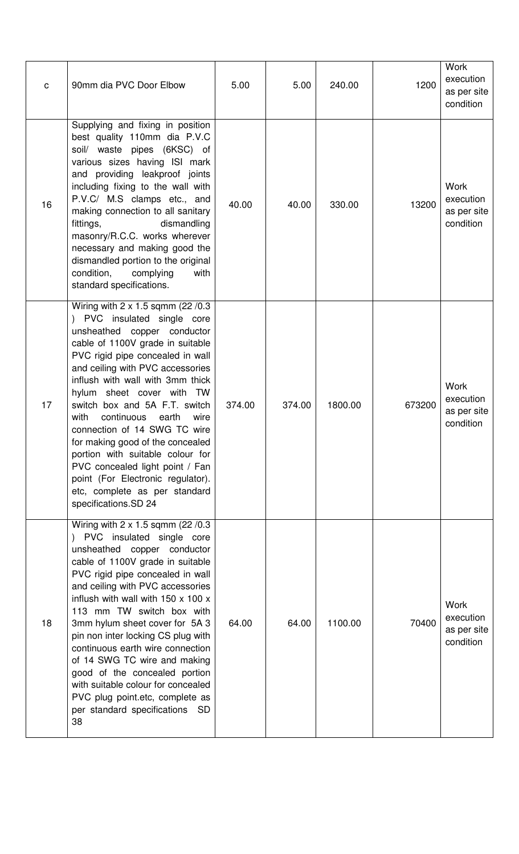| $\mathbf C$ | 90mm dia PVC Door Elbow                                                                                                                                                                                                                                                                                                                                                                                                                                                                                                                                                                        | 5.00   | 5.00   | 240.00  | 1200   | <b>Work</b><br>execution<br>as per site<br>condition |
|-------------|------------------------------------------------------------------------------------------------------------------------------------------------------------------------------------------------------------------------------------------------------------------------------------------------------------------------------------------------------------------------------------------------------------------------------------------------------------------------------------------------------------------------------------------------------------------------------------------------|--------|--------|---------|--------|------------------------------------------------------|
| 16          | Supplying and fixing in position<br>best quality 110mm dia P.V.C<br>soil/ waste pipes (6KSC) of<br>various sizes having ISI mark<br>and providing leakproof joints<br>including fixing to the wall with<br>P.V.C/ M.S clamps etc., and<br>making connection to all sanitary<br>dismandling<br>fittings,<br>masonry/R.C.C. works wherever<br>necessary and making good the<br>dismandled portion to the original<br>condition,<br>complying<br>with<br>standard specifications.                                                                                                                 | 40.00  | 40.00  | 330.00  | 13200  | <b>Work</b><br>execution<br>as per site<br>condition |
| 17          | Wiring with 2 x 1.5 sqmm (22 /0.3<br>) PVC insulated single core<br>unsheathed copper conductor<br>cable of 1100V grade in suitable<br>PVC rigid pipe concealed in wall<br>and ceiling with PVC accessories<br>inflush with wall with 3mm thick<br>hylum sheet cover with TW<br>switch box and 5A F.T. switch<br>with<br>continuous<br>earth<br>wire<br>connection of 14 SWG TC wire<br>for making good of the concealed<br>portion with suitable colour for<br>PVC concealed light point / Fan<br>point (For Electronic regulator).<br>etc, complete as per standard<br>specifications.SD 24  | 374.00 | 374.00 | 1800.00 | 673200 | <b>Work</b><br>execution<br>as per site<br>condition |
| 18          | Wiring with 2 x 1.5 sqmm (22 / 0.3<br>) PVC insulated single core<br>unsheathed copper conductor<br>cable of 1100V grade in suitable<br>PVC rigid pipe concealed in wall<br>and ceiling with PVC accessories<br>inflush with wall with $150 \times 100 \times$<br>113 mm TW switch box with<br>3mm hylum sheet cover for 5A 3<br>pin non inter locking CS plug with<br>continuous earth wire connection<br>of 14 SWG TC wire and making<br>good of the concealed portion<br>with suitable colour for concealed<br>PVC plug point.etc, complete as<br>per standard specifications<br>- SD<br>38 | 64.00  | 64.00  | 1100.00 | 70400  | <b>Work</b><br>execution<br>as per site<br>condition |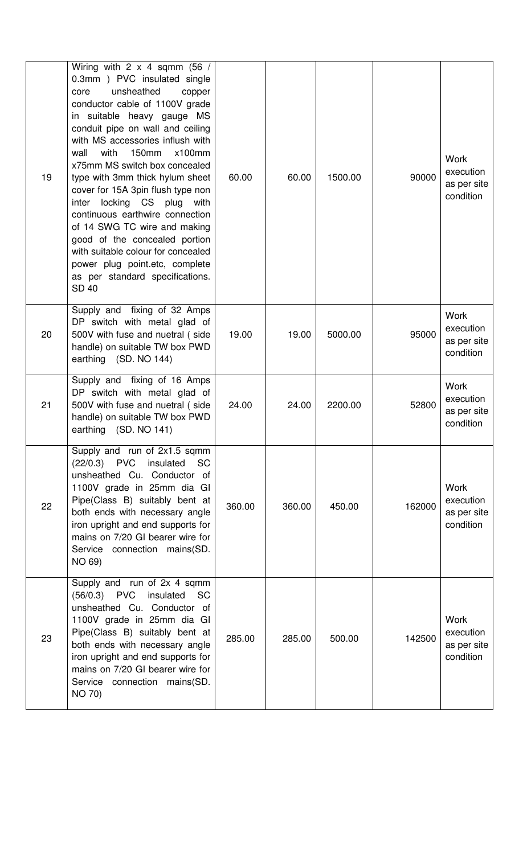| 19 | Wiring with $2 \times 4$ sqmm (56 /<br>0.3mm ) PVC insulated single<br>unsheathed<br>core<br>copper<br>conductor cable of 1100V grade<br>in suitable heavy gauge MS<br>conduit pipe on wall and ceiling<br>with MS accessories inflush with<br>with<br>150mm<br>$x100$ mm<br>wall<br>x75mm MS switch box concealed<br>type with 3mm thick hylum sheet<br>cover for 15A 3pin flush type non<br>locking CS plug with<br>inter<br>continuous earthwire connection<br>of 14 SWG TC wire and making<br>good of the concealed portion<br>with suitable colour for concealed<br>power plug point.etc, complete<br>as per standard specifications.<br><b>SD 40</b> | 60.00  | 60.00  | 1500.00 | 90000  | <b>Work</b><br>execution<br>as per site<br>condition |
|----|------------------------------------------------------------------------------------------------------------------------------------------------------------------------------------------------------------------------------------------------------------------------------------------------------------------------------------------------------------------------------------------------------------------------------------------------------------------------------------------------------------------------------------------------------------------------------------------------------------------------------------------------------------|--------|--------|---------|--------|------------------------------------------------------|
| 20 | Supply and fixing of 32 Amps<br>DP switch with metal glad of<br>500V with fuse and nuetral (side<br>handle) on suitable TW box PWD<br>earthing (SD. NO 144)                                                                                                                                                                                                                                                                                                                                                                                                                                                                                                | 19.00  | 19.00  | 5000.00 | 95000  | <b>Work</b><br>execution<br>as per site<br>condition |
| 21 | Supply and fixing of 16 Amps<br>DP switch with metal glad of<br>500V with fuse and nuetral (side<br>handle) on suitable TW box PWD<br>earthing (SD. NO 141)                                                                                                                                                                                                                                                                                                                                                                                                                                                                                                | 24.00  | 24.00  | 2200.00 | 52800  | <b>Work</b><br>execution<br>as per site<br>condition |
| 22 | Supply and run of 2x1.5 sqmm<br>$(22/0.3)$ PVC insulated<br><b>SC</b><br>unsheathed Cu. Conductor of<br>1100V grade in 25mm dia GI<br>Pipe(Class B) suitably bent at<br>both ends with necessary angle<br>iron upright and end supports for<br>mains on 7/20 GI bearer wire for<br>Service connection mains(SD.<br>NO 69)                                                                                                                                                                                                                                                                                                                                  | 360.00 | 360.00 | 450.00  | 162000 | <b>Work</b><br>execution<br>as per site<br>condition |
| 23 | Supply and run of 2x 4 sqmm<br>$(56/0.3)$ PVC<br>insulated<br><b>SC</b><br>unsheathed Cu. Conductor of<br>1100V grade in 25mm dia GI<br>Pipe(Class B) suitably bent at<br>both ends with necessary angle<br>iron upright and end supports for<br>mains on 7/20 GI bearer wire for<br>Service connection mains(SD.<br><b>NO 70)</b>                                                                                                                                                                                                                                                                                                                         | 285.00 | 285.00 | 500.00  | 142500 | <b>Work</b><br>execution<br>as per site<br>condition |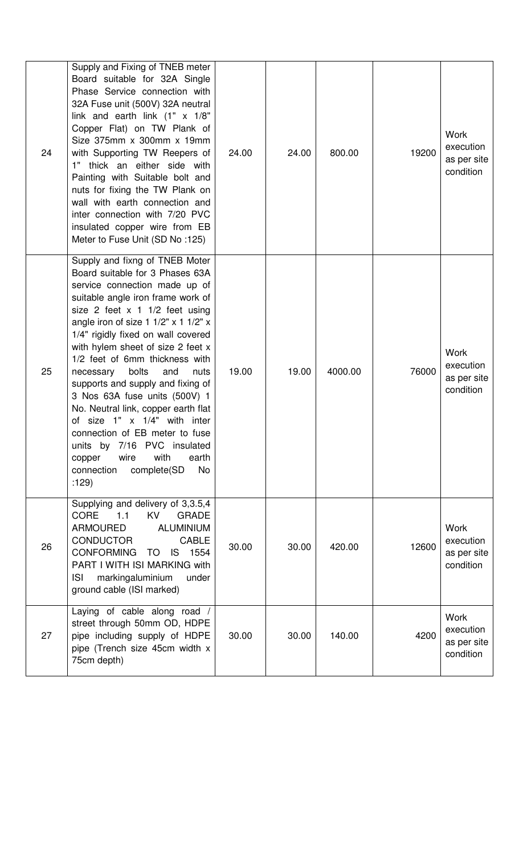| 24 | Supply and Fixing of TNEB meter<br>Board suitable for 32A Single<br>Phase Service connection with<br>32A Fuse unit (500V) 32A neutral<br>link and earth link (1" x 1/8"<br>Copper Flat) on TW Plank of<br>Size 375mm x 300mm x 19mm<br>with Supporting TW Reepers of<br>1" thick an either side with<br>Painting with Suitable bolt and<br>nuts for fixing the TW Plank on<br>wall with earth connection and<br>inter connection with 7/20 PVC<br>insulated copper wire from EB<br>Meter to Fuse Unit (SD No:125)                                                                                                                                                           | 24.00 | 24.00 | 800.00  | 19200 | <b>Work</b><br>execution<br>as per site<br>condition |
|----|-----------------------------------------------------------------------------------------------------------------------------------------------------------------------------------------------------------------------------------------------------------------------------------------------------------------------------------------------------------------------------------------------------------------------------------------------------------------------------------------------------------------------------------------------------------------------------------------------------------------------------------------------------------------------------|-------|-------|---------|-------|------------------------------------------------------|
| 25 | Supply and fixng of TNEB Moter<br>Board suitable for 3 Phases 63A<br>service connection made up of<br>suitable angle iron frame work of<br>size 2 feet $x$ 1 1/2 feet using<br>angle iron of size 1 $1/2$ " x 1 $1/2$ " x<br>1/4" rigidly fixed on wall covered<br>with hylem sheet of size 2 feet x<br>1/2 feet of 6mm thickness with<br>bolts<br>and<br>necessary<br>nuts<br>supports and supply and fixing of<br>3 Nos 63A fuse units (500V) 1<br>No. Neutral link, copper earth flat<br>of size 1" x 1/4" with inter<br>connection of EB meter to fuse<br>7/16 PVC insulated<br>units by<br>with<br>wire<br>earth<br>copper<br>connection<br>complete(SD<br>No<br>:129) | 19.00 | 19.00 | 4000.00 | 76000 | <b>Work</b><br>execution<br>as per site<br>condition |
| 26 | Supplying and delivery of 3,3.5,4<br><b>CORE</b><br>1.1<br><b>KV</b><br><b>GRADE</b><br><b>ARMOURED</b><br><b>ALUMINIUM</b><br><b>CONDUCTOR</b><br><b>CABLE</b><br><b>CONFORMING</b><br>1554<br>TO<br>IS.<br>PART I WITH ISI MARKING with<br>markingaluminium<br>under<br><b>ISI</b><br>ground cable (ISI marked)                                                                                                                                                                                                                                                                                                                                                           | 30.00 | 30.00 | 420.00  | 12600 | <b>Work</b><br>execution<br>as per site<br>condition |
| 27 | Laying of cable along road /<br>street through 50mm OD, HDPE<br>pipe including supply of HDPE<br>pipe (Trench size 45cm width x<br>75cm depth)                                                                                                                                                                                                                                                                                                                                                                                                                                                                                                                              | 30.00 | 30.00 | 140.00  | 4200  | <b>Work</b><br>execution<br>as per site<br>condition |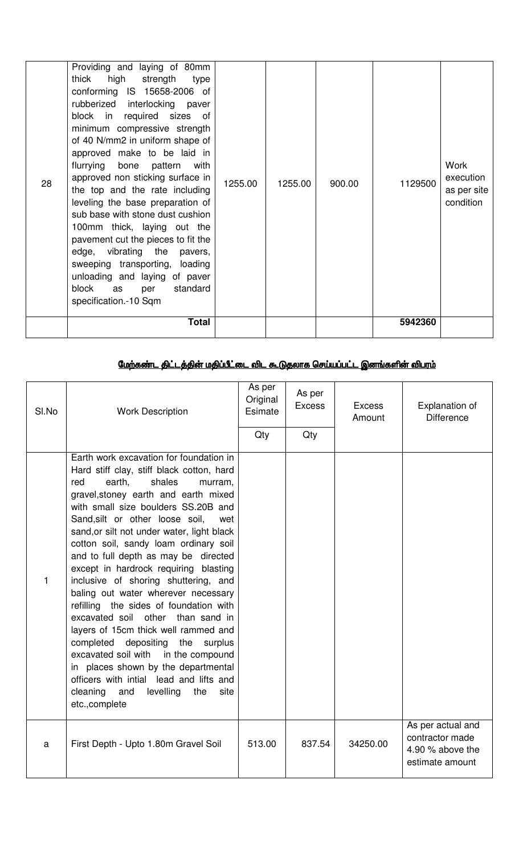| conforming IS 15658-2006 of<br>28 | rubberized interlocking paver<br>block in required sizes of<br>minimum compressive strength<br>of 40 N/mm2 in uniform shape of<br>approved make to be laid in<br>flurrying bone pattern<br>with<br>approved non sticking surface in<br>the top and the rate including<br>leveling the base preparation of<br>sub base with stone dust cushion<br>100mm thick, laying out the<br>pavement cut the pieces to fit the<br>edge, vibrating the pavers,<br>sweeping transporting, loading<br>unloading and laying of paver<br>block<br>standard<br>as<br>per<br>specification.-10 Sqm<br><b>Total</b> | 1255.00 | 1255.00 | 900.00 | 1129500<br>5942360 | Work<br>execution<br>as per site<br>condition |
|-----------------------------------|-------------------------------------------------------------------------------------------------------------------------------------------------------------------------------------------------------------------------------------------------------------------------------------------------------------------------------------------------------------------------------------------------------------------------------------------------------------------------------------------------------------------------------------------------------------------------------------------------|---------|---------|--------|--------------------|-----------------------------------------------|
|                                   |                                                                                                                                                                                                                                                                                                                                                                                                                                                                                                                                                                                                 |         |         |        |                    |                                               |

# <u>மேற்கண்ட திட்டத்தின் மதிப்பீட்டை விட கூடுதலாக செய்யப்பட்ட இனங்களின் விபரம்</u>

| SI.No        | <b>Work Description</b>                                                                                                                                                                                                                                                                                                                                                                                                                                                                                                                                                                                                                                                                                                                                                                                                                                              | As per<br>Original<br>Esimate<br>Qty | As per<br><b>Excess</b><br>Qty | <b>Excess</b><br>Amount | Explanation of<br><b>Difference</b>                                         |
|--------------|----------------------------------------------------------------------------------------------------------------------------------------------------------------------------------------------------------------------------------------------------------------------------------------------------------------------------------------------------------------------------------------------------------------------------------------------------------------------------------------------------------------------------------------------------------------------------------------------------------------------------------------------------------------------------------------------------------------------------------------------------------------------------------------------------------------------------------------------------------------------|--------------------------------------|--------------------------------|-------------------------|-----------------------------------------------------------------------------|
| $\mathbf{1}$ | Earth work excavation for foundation in<br>Hard stiff clay, stiff black cotton, hard<br>earth,<br>shales<br>red<br>murram,<br>gravel, stoney earth and earth mixed<br>with small size boulders SS.20B and<br>Sand, silt or other loose soil,<br>wet<br>sand, or silt not under water, light black<br>cotton soil, sandy loam ordinary soil<br>and to full depth as may be directed<br>except in hardrock requiring blasting<br>inclusive of shoring shuttering, and<br>baling out water wherever necessary<br>refilling the sides of foundation with<br>excavated soil other than sand in<br>layers of 15cm thick well rammed and<br>completed depositing<br>the surplus<br>excavated soil with<br>in the compound<br>in places shown by the departmental<br>officers with intial lead and lifts and<br>cleaning<br>levelling<br>and<br>the<br>site<br>etc.,complete |                                      |                                |                         |                                                                             |
| a            | First Depth - Upto 1.80m Gravel Soil                                                                                                                                                                                                                                                                                                                                                                                                                                                                                                                                                                                                                                                                                                                                                                                                                                 | 513.00                               | 837.54                         | 34250.00                | As per actual and<br>contractor made<br>4.90 % above the<br>estimate amount |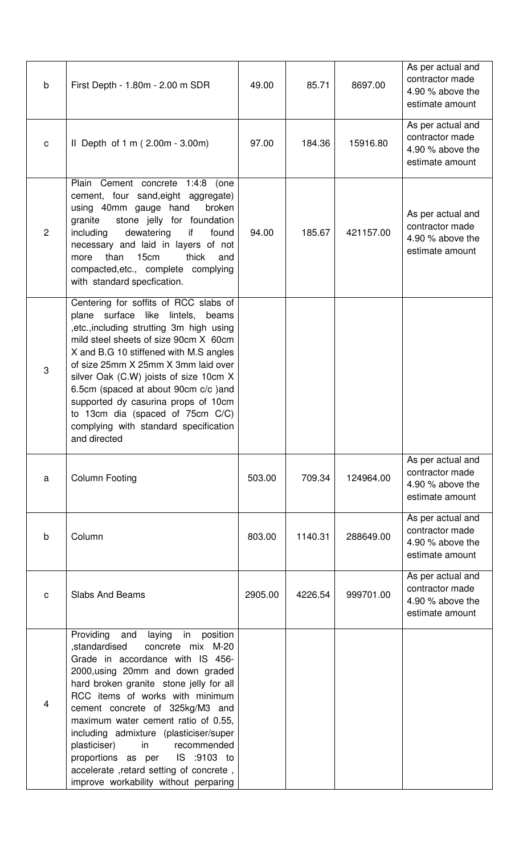| $\mathsf b$    | First Depth - 1.80m - 2.00 m SDR                                                                                                                                                                                                                                                                                                                                                                                                                                                                                           | 49.00   | 85.71   | 8697.00   | As per actual and<br>contractor made<br>4.90 % above the<br>estimate amount   |
|----------------|----------------------------------------------------------------------------------------------------------------------------------------------------------------------------------------------------------------------------------------------------------------------------------------------------------------------------------------------------------------------------------------------------------------------------------------------------------------------------------------------------------------------------|---------|---------|-----------|-------------------------------------------------------------------------------|
| $\mathbf C$    | Il Depth of $1 \text{ m}$ (2.00m - 3.00m)                                                                                                                                                                                                                                                                                                                                                                                                                                                                                  | 97.00   | 184.36  | 15916.80  | As per actual and<br>contractor made<br>4.90 % above the<br>estimate amount   |
| $\overline{2}$ | Plain Cement concrete 1:4:8<br>(one<br>cement, four sand, eight aggregate)<br>using 40mm gauge hand<br>broken<br>stone jelly for foundation<br>granite<br>dewatering<br>including<br>if<br>found<br>necessary and laid in layers of not<br>than<br>15cm<br>thick<br>and<br>more<br>compacted, etc., complete complying<br>with standard specfication.                                                                                                                                                                      | 94.00   | 185.67  | 421157.00 | As per actual and<br>contractor made<br>4.90 % above the<br>estimate amount   |
| 3              | Centering for soffits of RCC slabs of<br>plane surface like lintels, beams<br>,etc., including strutting 3m high using<br>mild steel sheets of size 90cm X 60cm<br>X and B.G 10 stiffened with M.S angles<br>of size 25mm X 25mm X 3mm laid over<br>silver Oak (C.W) joists of size 10cm X<br>6.5cm (spaced at about 90cm c/c )and<br>supported dy casurina props of 10cm<br>to 13cm dia (spaced of 75cm C/C)<br>complying with standard specification<br>and directed                                                     |         |         |           |                                                                               |
| a              | <b>Column Footing</b>                                                                                                                                                                                                                                                                                                                                                                                                                                                                                                      | 503.00  | 709.34  | 124964.00 | As per actual and<br>contractor made<br>4.90 % above the<br>estimate amount   |
| $\sf b$        | Column                                                                                                                                                                                                                                                                                                                                                                                                                                                                                                                     | 803.00  | 1140.31 | 288649.00 | As per actual and<br>contractor made<br>4.90 % above the<br>estimate amount   |
| $\mathbf{C}$   | <b>Slabs And Beams</b>                                                                                                                                                                                                                                                                                                                                                                                                                                                                                                     | 2905.00 | 4226.54 | 999701.00 | As per actual and<br>contractor made<br>4.90 $%$ above the<br>estimate amount |
| $\overline{4}$ | Providing<br>laying<br>in<br>position<br>and<br>,standardised<br>concrete mix M-20<br>Grade in accordance with IS 456-<br>2000, using 20mm and down graded<br>hard broken granite stone jelly for all<br>RCC items of works with minimum<br>cement concrete of 325kg/M3 and<br>maximum water cement ratio of 0.55,<br>including admixture (plasticiser/super<br>in<br>plasticiser)<br>recommended<br>proportions as per<br>IS :9103 to<br>accelerate, retard setting of concrete,<br>improve workability without perparing |         |         |           |                                                                               |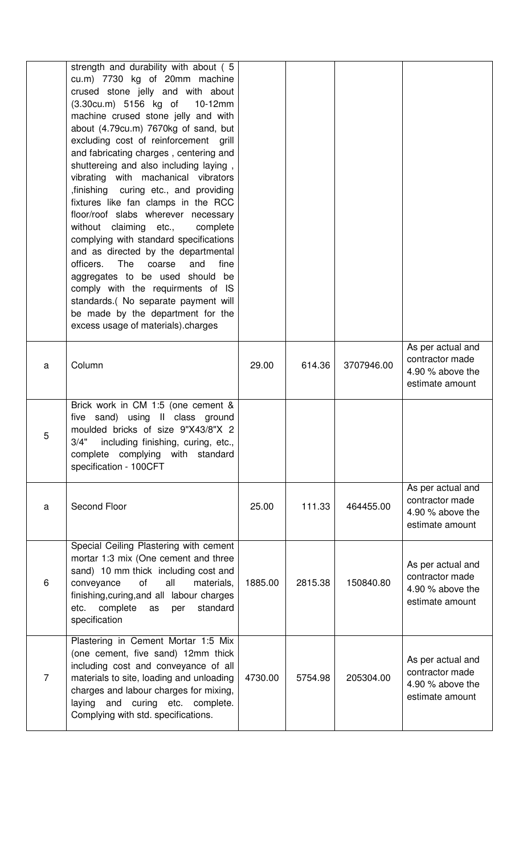|                | strength and durability with about (5<br>cu.m) 7730 kg of 20mm machine<br>crused stone jelly and with about<br>(3.30cu.m) 5156 kg of<br>$10-12mm$<br>machine crused stone jelly and with<br>about (4.79cu.m) 7670kg of sand, but<br>excluding cost of reinforcement grill<br>and fabricating charges, centering and<br>shuttereing and also including laying,<br>vibrating with machanical vibrators<br>,finishing curing etc., and providing<br>fixtures like fan clamps in the RCC<br>floor/roof slabs wherever necessary<br>without claiming etc.,<br>complete<br>complying with standard specifications<br>and as directed by the departmental<br>officers.<br>The<br>fine<br>coarse<br>and<br>aggregates to be used should be<br>comply with the requirments of IS<br>standards.( No separate payment will<br>be made by the department for the<br>excess usage of materials).charges |         |         |            |                                                                               |
|----------------|--------------------------------------------------------------------------------------------------------------------------------------------------------------------------------------------------------------------------------------------------------------------------------------------------------------------------------------------------------------------------------------------------------------------------------------------------------------------------------------------------------------------------------------------------------------------------------------------------------------------------------------------------------------------------------------------------------------------------------------------------------------------------------------------------------------------------------------------------------------------------------------------|---------|---------|------------|-------------------------------------------------------------------------------|
| a              | Column                                                                                                                                                                                                                                                                                                                                                                                                                                                                                                                                                                                                                                                                                                                                                                                                                                                                                     | 29.00   | 614.36  | 3707946.00 | As per actual and<br>contractor made<br>4.90 $%$ above the<br>estimate amount |
| 5              | Brick work in CM 1:5 (one cement &<br>five sand) using II class ground<br>moulded bricks of size 9"X43/8"X 2<br>3/4"<br>including finishing, curing, etc.,<br>complete complying with standard<br>specification - 100CFT                                                                                                                                                                                                                                                                                                                                                                                                                                                                                                                                                                                                                                                                   |         |         |            |                                                                               |
| a              | Second Floor                                                                                                                                                                                                                                                                                                                                                                                                                                                                                                                                                                                                                                                                                                                                                                                                                                                                               | 25.00   | 111.33  | 464455.00  | As per actual and<br>contractor made<br>4.90 $%$ above the<br>estimate amount |
| 6              | Special Ceiling Plastering with cement<br>mortar 1:3 mix (One cement and three<br>sand) 10 mm thick including cost and<br>all<br>οf<br>materials,<br>conveyance<br>finishing, curing, and all labour charges<br>standard<br>complete<br>as<br>per<br>etc.<br>specification                                                                                                                                                                                                                                                                                                                                                                                                                                                                                                                                                                                                                 | 1885.00 | 2815.38 | 150840.80  | As per actual and<br>contractor made<br>4.90 $%$ above the<br>estimate amount |
| $\overline{7}$ | Plastering in Cement Mortar 1:5 Mix<br>(one cement, five sand) 12mm thick<br>including cost and conveyance of all<br>materials to site, loading and unloading<br>charges and labour charges for mixing,<br>laying and curing etc. complete.<br>Complying with std. specifications.                                                                                                                                                                                                                                                                                                                                                                                                                                                                                                                                                                                                         | 4730.00 | 5754.98 | 205304.00  | As per actual and<br>contractor made<br>4.90 $%$ above the<br>estimate amount |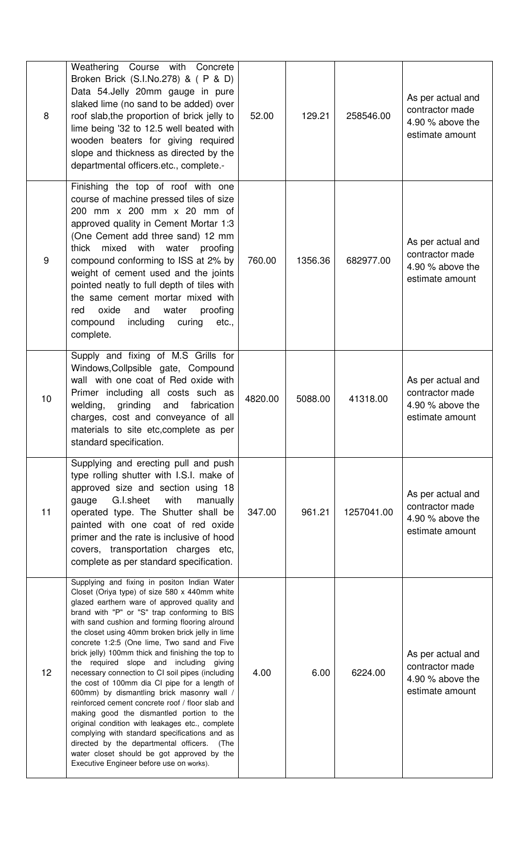| 8  | Weathering Course with Concrete<br>Broken Brick (S.I.No.278) & ( P & D)<br>Data 54.Jelly 20mm gauge in pure<br>slaked lime (no sand to be added) over<br>roof slab, the proportion of brick jelly to<br>lime being '32 to 12.5 well beated with<br>wooden beaters for giving required<br>slope and thickness as directed by the<br>departmental officers.etc., complete.-                                                                                                                                                                                                                                                                                                                                                                                                                                                                                                                                                                              | 52.00   | 129.21  | 258546.00  | As per actual and<br>contractor made<br>4.90 % above the<br>estimate amount   |
|----|--------------------------------------------------------------------------------------------------------------------------------------------------------------------------------------------------------------------------------------------------------------------------------------------------------------------------------------------------------------------------------------------------------------------------------------------------------------------------------------------------------------------------------------------------------------------------------------------------------------------------------------------------------------------------------------------------------------------------------------------------------------------------------------------------------------------------------------------------------------------------------------------------------------------------------------------------------|---------|---------|------------|-------------------------------------------------------------------------------|
| 9  | Finishing the top of roof with one<br>course of machine pressed tiles of size<br>200 mm x 200 mm x 20 mm of<br>approved quality in Cement Mortar 1:3<br>(One Cement add three sand) 12 mm<br>mixed with water<br>proofing<br>thick<br>compound conforming to ISS at 2% by<br>weight of cement used and the joints<br>pointed neatly to full depth of tiles with<br>the same cement mortar mixed with<br>proofing<br>oxide<br>and<br>water<br>red<br>compound<br>including<br>curing<br>etc.,<br>complete.                                                                                                                                                                                                                                                                                                                                                                                                                                              | 760.00  | 1356.36 | 682977.00  | As per actual and<br>contractor made<br>4.90 $%$ above the<br>estimate amount |
| 10 | Supply and fixing of M.S Grills for<br>Windows, Collpsible gate, Compound<br>wall with one coat of Red oxide with<br>Primer including all costs such as<br>grinding<br>welding,<br>and<br>fabrication<br>charges, cost and conveyance of all<br>materials to site etc, complete as per<br>standard specification.                                                                                                                                                                                                                                                                                                                                                                                                                                                                                                                                                                                                                                      | 4820.00 | 5088.00 | 41318.00   | As per actual and<br>contractor made<br>4.90 % above the<br>estimate amount   |
| 11 | Supplying and erecting pull and push<br>type rolling shutter with I.S.I. make of<br>approved size and section using 18<br>G.I.sheet<br>with<br>manually<br>gauge<br>operated type. The Shutter shall be<br>painted with one coat of red oxide<br>primer and the rate is inclusive of hood<br>covers, transportation charges etc,<br>complete as per standard specification.                                                                                                                                                                                                                                                                                                                                                                                                                                                                                                                                                                            | 347.00  | 961.21  | 1257041.00 | As per actual and<br>contractor made<br>4.90 % above the<br>estimate amount   |
| 12 | Supplying and fixing in positon Indian Water<br>Closet (Oriya type) of size 580 x 440mm white<br>glazed earthern ware of approved quality and<br>brand with "P" or "S" trap conforming to BIS<br>with sand cushion and forming flooring alround<br>the closet using 40mm broken brick jelly in lime<br>concrete 1:2:5 (One lime, Two sand and Five<br>brick jelly) 100mm thick and finishing the top to<br>the required slope and including giving<br>necessary connection to CI soil pipes (including<br>the cost of 100mm dia CI pipe for a length of<br>600mm) by dismantling brick masonry wall /<br>reinforced cement concrete roof / floor slab and<br>making good the dismantled portion to the<br>original condition with leakages etc., complete<br>complying with standard specifications and as<br>directed by the departmental officers.<br>(The<br>water closet should be got approved by the<br>Executive Engineer before use on works). | 4.00    | 6.00    | 6224.00    | As per actual and<br>contractor made<br>4.90 $%$ above the<br>estimate amount |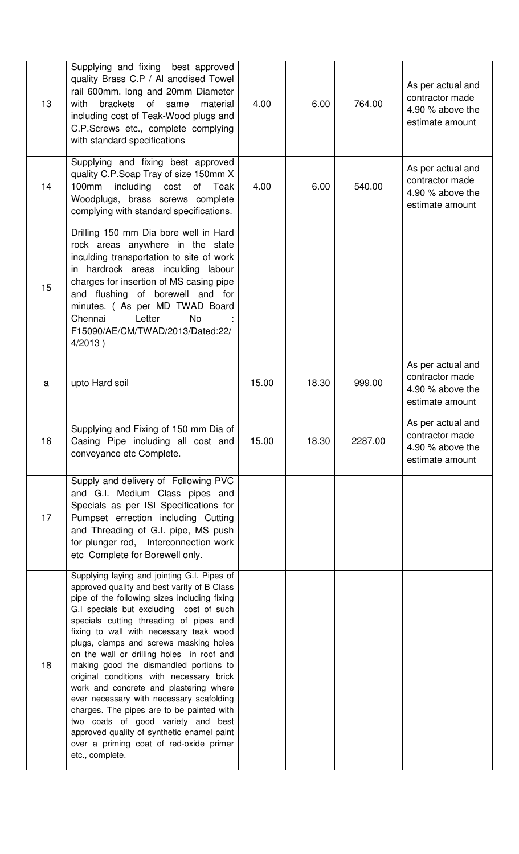| 13 | Supplying and fixing best approved<br>quality Brass C.P / Al anodised Towel<br>rail 600mm. long and 20mm Diameter<br>brackets of same<br>with<br>material<br>including cost of Teak-Wood plugs and<br>C.P.Screws etc., complete complying<br>with standard specifications                                                                                                                                                                                                                                                                                                                                                                                                                                                                     | 4.00  | 6.00  | 764.00  | As per actual and<br>contractor made<br>4.90 % above the<br>estimate amount |
|----|-----------------------------------------------------------------------------------------------------------------------------------------------------------------------------------------------------------------------------------------------------------------------------------------------------------------------------------------------------------------------------------------------------------------------------------------------------------------------------------------------------------------------------------------------------------------------------------------------------------------------------------------------------------------------------------------------------------------------------------------------|-------|-------|---------|-----------------------------------------------------------------------------|
| 14 | Supplying and fixing best approved<br>quality C.P.Soap Tray of size 150mm X<br>100mm<br>including cost<br>of Teak<br>Woodplugs, brass screws complete<br>complying with standard specifications.                                                                                                                                                                                                                                                                                                                                                                                                                                                                                                                                              | 4.00  | 6.00  | 540.00  | As per actual and<br>contractor made<br>4.90 % above the<br>estimate amount |
| 15 | Drilling 150 mm Dia bore well in Hard<br>rock areas anywhere in the state<br>inculding transportation to site of work<br>in hardrock areas inculding labour<br>charges for insertion of MS casing pipe<br>and flushing of borewell and for<br>minutes. (As per MD TWAD Board<br>Chennai<br>Letter<br><b>No</b><br>F15090/AE/CM/TWAD/2013/Dated:22/<br>$4/2013$ )                                                                                                                                                                                                                                                                                                                                                                              |       |       |         |                                                                             |
| a  | upto Hard soil                                                                                                                                                                                                                                                                                                                                                                                                                                                                                                                                                                                                                                                                                                                                | 15.00 | 18.30 | 999.00  | As per actual and<br>contractor made<br>4.90 % above the<br>estimate amount |
| 16 | Supplying and Fixing of 150 mm Dia of<br>Casing Pipe including all cost and<br>conveyance etc Complete.                                                                                                                                                                                                                                                                                                                                                                                                                                                                                                                                                                                                                                       | 15.00 | 18.30 | 2287.00 | As per actual and<br>contractor made<br>4.90 % above the<br>estimate amount |
| 17 | Supply and delivery of Following PVC<br>and G.I. Medium Class pipes and<br>Specials as per ISI Specifications for<br>Pumpset errection including Cutting<br>and Threading of G.I. pipe, MS push<br>for plunger rod, Interconnection work<br>etc Complete for Borewell only.                                                                                                                                                                                                                                                                                                                                                                                                                                                                   |       |       |         |                                                                             |
| 18 | Supplying laying and jointing G.I. Pipes of<br>approved quality and best varity of B Class<br>pipe of the following sizes including fixing<br>G.I specials but excluding cost of such<br>specials cutting threading of pipes and<br>fixing to wall with necessary teak wood<br>plugs, clamps and screws masking holes<br>on the wall or drilling holes in roof and<br>making good the dismandled portions to<br>original conditions with necessary brick<br>work and concrete and plastering where<br>ever necessary with necessary scafolding<br>charges. The pipes are to be painted with<br>two coats of good variety and best<br>approved quality of synthetic enamel paint<br>over a priming coat of red-oxide primer<br>etc., complete. |       |       |         |                                                                             |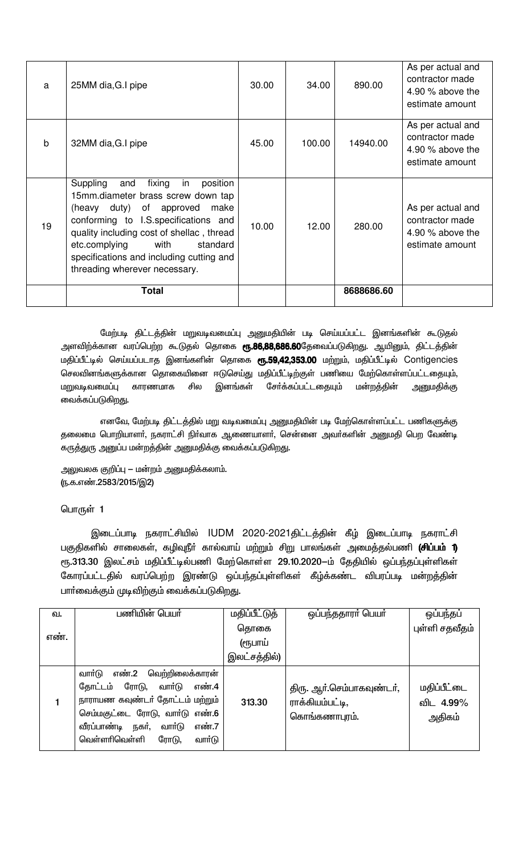| a            | 25MM dia, G.I pipe                                                                                                                                                                                                                                                                                                            | 30.00 | 34.00  | 890.00     | As per actual and<br>contractor made<br>4.90 $%$ above the<br>estimate amount |
|--------------|-------------------------------------------------------------------------------------------------------------------------------------------------------------------------------------------------------------------------------------------------------------------------------------------------------------------------------|-------|--------|------------|-------------------------------------------------------------------------------|
| $\mathsf{b}$ | 32MM dia, G.I pipe                                                                                                                                                                                                                                                                                                            | 45.00 | 100.00 | 14940.00   | As per actual and<br>contractor made<br>4.90 $%$ above the<br>estimate amount |
| 19           | Suppling<br>fixing<br>in<br>position<br>and<br>15mm.diameter brass screw down tap<br>(heavy duty) of approved<br>make<br>conforming to I.S. specifications and<br>quality including cost of shellac, thread<br>etc.complying<br>with<br>standard<br>specifications and including cutting and<br>threading wherever necessary. | 10.00 | 12.00  | 280.00     | As per actual and<br>contractor made<br>4.90 $%$ above the<br>estimate amount |
|              | <b>Total</b>                                                                                                                                                                                                                                                                                                                  |       |        | 8688686.60 |                                                                               |

மேற்படி திட்டத்தின் மறுவடிவமைப்பு அனுமதியின் படி செய்யப்பட்ட இனங்களின் கூடுதல் அளவிற்க்கான வரப்பெற்ற கூடுதல் தொகை **ரூ.86,88,686.60**தேவைப்படுகிறது. ஆயினும், திட்டத்தின் மதிப்பீட்டில் செய்யப்படாத இனங்களின் தொகை ரூ.59,42,353.00 மற்றும், மதிப்பீட்டில் Contigencies செலவினங்களுக்கான தொகையினை ஈடுசெய்து மதிப்பீட்டிற்குள் பணியை மேற்கொள்ளப்பட்டதையும், மறுவடிவமைப்பு சில இனங்கள் சோ்க்கப்பட்டதையும் மன்றத்தின் அனுமதிக்கு காரணமாக வைக்கப்படுகிறது.

எனவே, மேற்படி திட்டத்தில் மறு வடிவமைப்பு அனுமதியின் படி மேற்கொள்ளப்பட்ட பணிகளுக்கு தலைமை பொறியாளா், நகராட்சி நிா்வாக ஆணையாளா், சென்னை அவா்களின் அனுமதி பெற வேண்டி கருத்துரு அனுப்ப மன்றத்தின் அனுமதிக்கு வைக்கப்படுகிறது.

அலுவலக குறிப்பு – மன்றம் அனுமதிக்கலாம். (ந.க.எண்.2583/2015/இ2)

பொருள் 1

இடைப்பாடி நகராட்சியில் IUDM 2020-2021திட்டத்தின் கீழ் இடைப்பாடி நகராட்சி பகுதிகளில் சாலைகள், கழிவுநீா் கால்வாய் மற்றும் சிறு பாலங்கள் அமைத்தல்பணி **(சிப்பம் 1)** ரூ.313.30 இலட்சம் மதிப்பீட்டில்பணி மேற்கொள்ள 29.10.2020—ம் தேதியில் ஒப்பந்தப்புள்ளிகள் கோரப்பட்டதில் வரப்பெற்ற இரண்டு ஒப்பந்தப்புள்ளிகள் கீழ்க்கண்ட விபரப்படி மன்றத்தின் பார்வைக்கும் முடிவிற்கும் வைக்கப்படுகிறது.

| வ.   | பணியின் பெயர்                                                                                                                                                                                                        | மதிப்பீட்டுத் | ஒப்பந்ததாரர் பெயர்                                            | ஒப்பந்தப்                          |
|------|----------------------------------------------------------------------------------------------------------------------------------------------------------------------------------------------------------------------|---------------|---------------------------------------------------------------|------------------------------------|
|      |                                                                                                                                                                                                                      | தொகை          |                                                               | புள்ளி சதவீதம்                     |
| எண். |                                                                                                                                                                                                                      | (ரூபாய்       |                                                               |                                    |
|      |                                                                                                                                                                                                                      | இலட்சத்தில்)  |                                                               |                                    |
|      | வார்டு<br>எண்.2<br>வெற்றிலைக்காரன்<br>ரோடு, வாா்டு<br>கோட்டம்<br>எண்.4<br>நாராயண கவுண்டர் தோட்டம் மற்றும்<br>செம்மகுட்டை ரோடு, வார்டு எண்.6<br>வீரப்பாண்டி நகர், வார்டு<br>எண்.7<br>வெள்ளாிவெள்ளி<br>வார்டு<br>ரோடு, | 313.30        | திரு. ஆர்.செம்பாகவுண்டர்,<br>ராக்கியம்பட்டி,<br>கொங்கணாபுரம். | மதிப்பீட்டை<br>விட 4.99%<br>அதிகம் |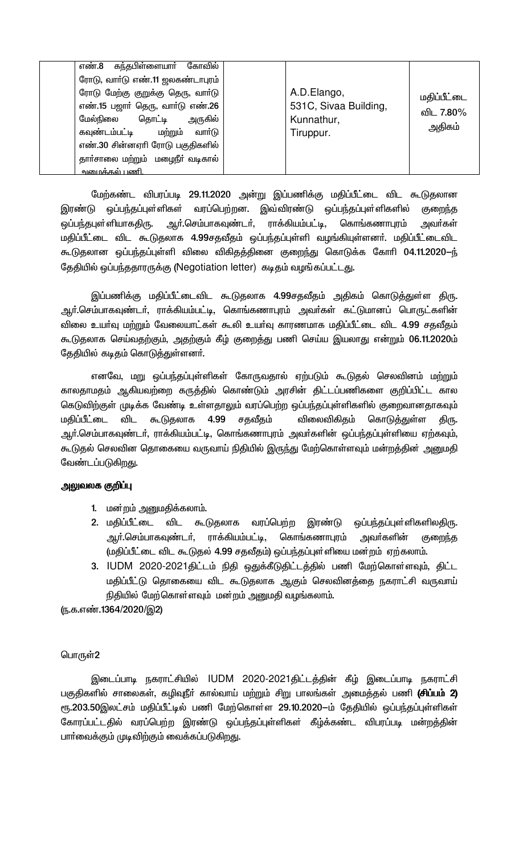| எண்.8 கந்தபிள்ளையார் கோவில்<br>ரோடு, வார்டு எண்.11 ஜலகண்டாபுரம்<br>ரோடு மேற்கு குறுக்கு தெரு, வாா்டு<br>எண்.15 பஜாா் தெரு, வாா்டு எண்.26<br>மேல்நிலை<br>தொட்டி<br>அருகில்<br>கவுண்டம்பட்டி<br>மற்றும்<br>வார்டு<br>எண்.30 சின்னஏரி ரோடு பகுதிகளில் | A.D.Elango,<br>531C, Sivaa Building,<br>Kunnathur,<br>Tiruppur. | மதிப்பீட்டை<br>விட 7.80%<br>அதிகம் |
|----------------------------------------------------------------------------------------------------------------------------------------------------------------------------------------------------------------------------------------------------|-----------------------------------------------------------------|------------------------------------|
|                                                                                                                                                                                                                                                    |                                                                 |                                    |
| தார்சாலை மற்றும் மழைநீர் வடிகால்                                                                                                                                                                                                                   |                                                                 |                                    |
| <u> அமைக்கல் பணி.</u>                                                                                                                                                                                                                              |                                                                 |                                    |

மேற்கண்ட விபரப்படி 29.11.2020 அன்று இப்பணிக்கு மதிப்பீட்டை விட கூடுதலான இரண்டு ஒப்பந்தப்புள்ளிகள் வரப்பெற்றன. இவ்விரண்டு ஒப்பந்தப்புள்ளிகளில் குறைந்த ஆர்.செம்பாகவுண்டர், ராக்கியம்பட்டி, கொங்கணாபுரம் ஒப்பந்தபுள்ளியாகதிரு. அவர்கள் மதிப்பீட்டை விட கூடுதலாக 4.99சதவீதம் ஒப்பந்தப்புள்ளி வழங்கியுள்ளனா். மதிப்பீட்டைவிட கூடுதலான ஒப்பந்தப்புள்ளி விலை விகிதத்தினை குறைந்து கொடுக்க கோரி 04.11.2020—ந் தேதியில் ஒப்பந்ததாரருக்கு (Negotiation letter) கடிதம் வழங்கப்பட்டது.

இப்பணிக்கு மதிப்பீட்டைவிட கூடுதலாக 4.99சதவீதம் அதிகம் கொடுத்துள்ள திரு. ஆர்.செம்பாகவுண்டர், ராக்கியம்பட்டி, கொங்கணாபுரம் அவர்கள் கட்டுமானப் பொருட்களின் விலை உயர்வு மற்றும் வேலையாட்கள் கூலி உயர்வு காரணமாக மதிப்பீட்டை விட 4.99 சதவீதம் கூடுதலாக செய்வதற்கும், அதற்கும் கீழ் குறைத்து பணி செய்ய இயலாது என்றும் 06.11.2020ம் தேதியில் கடிதம் கொடுத்துள்ளனர்.

எனவே, மறு ஒப்பந்தப்புள்ளிகள் கோருவதால் ஏற்படும் கூடுதல் செலவினம் மற்றும் காலதாமதம் ஆகியவற்றை கருத்தில் கொண்டும் அரசின் திட்டப்பணிகளை குறிப்பிட்ட கால கெடுவிற்குள் முடிக்க வேண்டி உள்ளதாலும் வரப்பெற்ற ஒப்பந்தப்புள்ளிகளில் குறைவானதாகவும் மகிப்பீட்டை விட கூடுதலாக 4.99 சதவீதம் விலைவிகிதம் கொடு<u>க்க</u>ுள்ள திரு. ஆர்.செம்பாகவுண்டர், ராக்கியம்பட்டி, கொங்கணாபுரம் அவர்களின் ஒப்பந்தப்புள்ளியை ஏற்கவும், கூடுதல் செலவின தொகையை வருவாய் நிதியில் இருந்து மேற்கொள்ளவும் மன்றத்தின் அனுமதி வேண்டப்படுகிறது.

### அலுவலக குறிப்பு

- 1. மன்றம் அனுமதிக்கலாம்.
- 2. மகிப்பீட்டை விட கூடுதலாக வரப்பெற்ற இரண்டு ஒப்பந்தப்புள்ளிகளிலதிரு. அவா்களின் ஆர்.செம்பாகவுண்டர், ராக்கியம்பட்டி, கொங்கணாபுரம் குறைந்த (மதிப்பீட்டை விட கூடுதல் 4.99 சதவீதம்) ஒப்பந்தப்புள்ளியை மன்றம் ஏற்கலாம்.
- 3. IUDM 2020-2021திட்டம் நிதி ஒதுக்கீடுதிட்டத்தில் பணி மேற்கொள்ளவும், திட்ட மதிப்பீட்டு தொகையை விட கூடுதலாக ஆகும் செலவினத்தை நகராட்சி வருவாய் நிதியில் மேற்கொள்ளவும் மன்றம் அனுமதி வழங்கலாம்.

(ந.க.எண்.1364/2020/இ2)

# பொருள்2

இடைப்பாடி நகராட்சியில் IUDM 2020-2021திட்டத்தின் கீழ் இடைப்பாடி நகராட்சி பகுதிகளில் சாலைகள், கழிவுநீா் கால்வாய் மற்றும் சிறு பாலங்கள் அமைத்தல் பணி **(சிப்பம் 2)** ரூ.203.50இலட்சம் மதிப்பீட்டில் பணி மேற்கொள்ள 29.10.2020—ம் தேதியில் ஒப்பந்தப்புள்ளிகள் கோரப்பட்டதில் வரப்பெற்ற இரண்டு ஒப்பந்தப்புள்ளிகள் கீழ்க்கண்ட விபரப்படி மன்றத்தின் பாா்வைக்கும் முடிவிற்கும் வைக்கப்படுகிறது.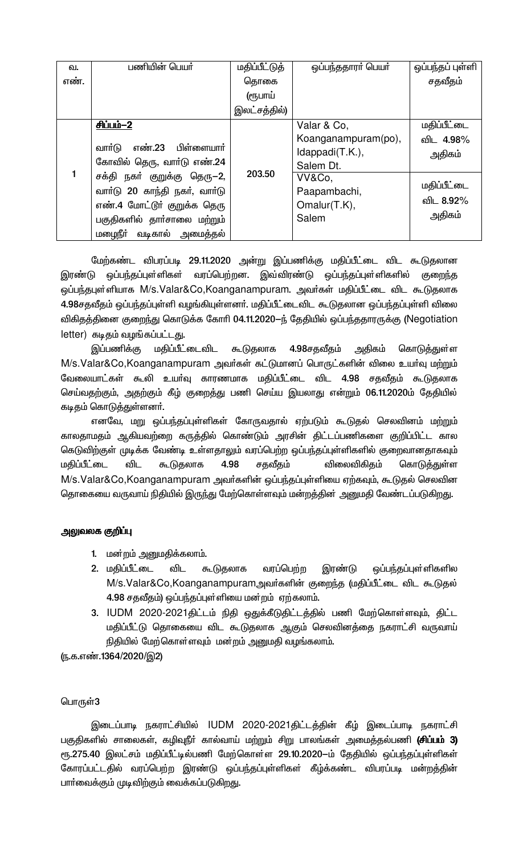| வ.   | பணியின் பெயர்                                                                                                                                                                                                       | மதிப்பீட்டுத் | ஒப்பந்ததாரர் பெயர்                                                                                     | ஒப்பந்தப் புள்ளி                                          |
|------|---------------------------------------------------------------------------------------------------------------------------------------------------------------------------------------------------------------------|---------------|--------------------------------------------------------------------------------------------------------|-----------------------------------------------------------|
| எண். |                                                                                                                                                                                                                     | தொகை          |                                                                                                        | சதவீதம்                                                   |
|      |                                                                                                                                                                                                                     | (ரூபாய்       |                                                                                                        |                                                           |
|      |                                                                                                                                                                                                                     | இலட்சத்தில்)  |                                                                                                        |                                                           |
|      | சிப்பம்-2                                                                                                                                                                                                           |               | Valar & Co,                                                                                            | மதிப்பீட்டை                                               |
|      | எண்.23 பிள்ளையாா்<br>வாா்டு<br>கோவில் தெரு, வாா்டு எண்.24<br>சக்தி நகா் குறுக்கு தெரு–2,<br>வாா்டு 20 காந்தி நகா், வாா்டு<br>எண்.4 மோட்டூர் குறுக்க தெரு<br>பகுதிகளில் தாா்சாலை மற்றும்<br>மழைநீா் வடிகால் அமைத்தல் | 203.50        | Koanganampuram(po),<br>Idappadi(T.K.),<br>Salem Dt.<br>VV&Co,<br>Paapambachi,<br>Omalur(T.K),<br>Salem | விட 4.98%<br>அதிகம்<br>மதிப்பீட்டை<br>விட 8.92%<br>அதிகம் |

மேற்கண்ட விபரப்படி 29.11.2020 அன்று இப்பணிக்கு மதிப்பீட்டை விட கூடுதலான இரண்டு ஒப்பந்தப்புள்ளிகள் வரப்பெற்றன. இவ்விரண்டு ஒப்பந்தப்புள்ளிகளில் குறைந்த ஒப்பந்தபுள்ளியாக M/s.Valar&Co,Koanganampuram. அவர்கள் மதிப்பீட்டை விட கூடுதலாக 4.98சதவீதம் ஒப்பந்தப்புள்ளி வழங்கியுள்ளனர். மதிப்பீட்டைவிட கூடுதலான ஒப்பந்தப்புள்ளி விலை விகிதத்தினை குறைந்து கொடுக்க கோரி 04.11.2020—ந் தேதியில் ஒப்பந்ததாரருக்கு (Negotiation letter) கடிதம் வழங்கப்பட்டது.

மதிப்பீட்டைவிட கூடுதலாக 4.98சதவீதம் அதிகம் இப்பணிக்கு கொடுத்துள்ள M/s.Valar&Co,Koanganampuram அவர்கள் கட்டுமானப் பொருட்களின் விலை உயர்வு மற்றும் வேலையாட்கள் கூலி உயர்வு காரணமாக மதிப்பீட்டை விட 4.98 சதவீதம் கூடுதலாக செய்வதற்கும், அதற்கும் கீழ் குறைத்து பணி செய்ய இயலாது என்றும் 06.11.2020ம் தேதியில் கடிதம் கொடுத்துள்ளனர்.

எனவே, மறு ஒப்பந்தப்புள்ளிகள் கோருவதால் ஏற்படும் கூடுதல் செலவினம் மற்றும் காலதாமதம் ஆகியவற்றை கருத்தில் கொண்டும் அரசின் திட்டப்பணிகளை குறிப்பிட்ட கால கெடுவிற்குள் முடிக்க வேண்டி உள்ளதாலும் வரப்பெற்ற ஒப்பந்தப்புள்ளிகளில் குறைவானதாகவும் மதிப்பீட்டை விட கூடுதலாக 4.98 சதவீதம் விலைவிகிதம் கொடுத்துள்ள M/s.Valar&Co,Koanganampuram அவர்களின் ஒப்பந்தப்புள்ளியை ஏற்கவும், கூடுதல் செலவின தொகையை வருவாய் நிதியில் இருந்து மேற்கொள்ளவும் மன்றத்தின் அனுமதி வேண்டப்படுகிறது.

# அலுவலக குறிப்பு

- 1. மன்றம் அனுமதிக்கலாம்.
- 2. மதிப்பீட்டை விட கூடுதலாக வரப்பெற்ற இரண்டு ஒப்பந்தப்புள்ளிகளில M/s.Valar&Co,Koanganampuramஅவர்களின் குறைந்த (மதிப்பீட்டை விட கூடுதல் 4.98 சதவீதம்) ஒப்பந்தப்புள்ளியை மன்றம் ஏற்கலாம்.
- 3. IUDM 2020-2021திட்டம் நிதி ஒதுக்கீடுதிட்டத்தில் பணி மேற்கொள்ளவும், திட்ட மதிப்பீட்டு தொகையை விட கூடுதலாக ஆகும் செலவினத்தை நகராட்சி வருவாய் நிதியில் மேற்கொள்ளவும் மன்றம் அனுமதி வழங்கலாம்.

(ந.க.எண்.1364/2020/இ2)

# பொருள்3

இடைப்பாடி நகராட்சியில் IUDM 2020-2021திட்டத்தின் கீழ் இடைப்பாடி நகராட்சி பகுதிகளில் சாலைகள், கழிவுநீா் கால்வாய் மற்றும் சிறு பாலங்கள் அமைத்தல்பணி **(சிப்பம் 3)** ரூ.275.40 இலட்சம் மதிப்பீட்டில்பணி மேற்கொள்ள 29.10.2020-ம் தேதியில் ஒப்பந்தப்புள்ளிகள் கோரப்பட்டதில் வரப்பெற்ற இரண்டு ஒப்பந்தப்புள்ளிகள் கீழ்க்கண்ட விபரப்படி மன்றத்தின் பாா்வைக்கும் முடிவிற்கும் வைக்கப்படுகிறது.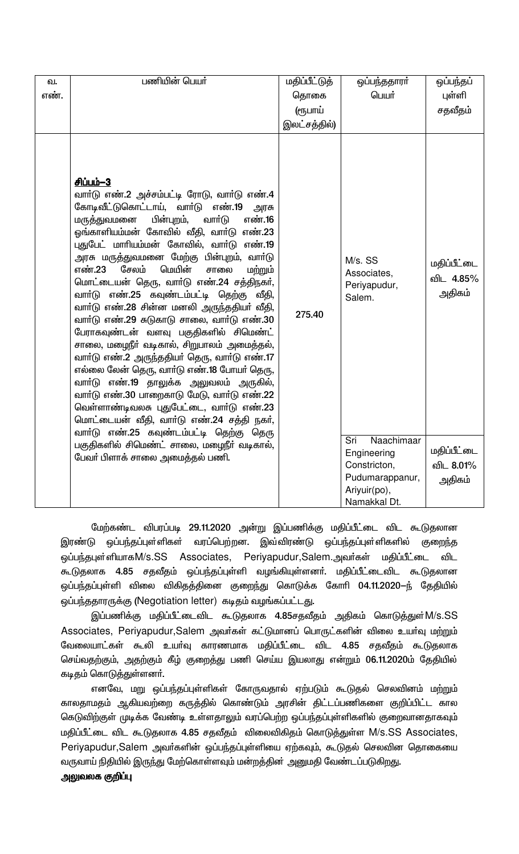| ഖ.<br>எண். | பணியின் பெயர்                                                                                                                                                                                                                                                                                                                                                                                                                                                                                                                                                                                                                                                                                                                                                                                                                                                                                                                                                                                         | மதிப்பீட்டுத்<br>தொகை<br>(ரூபாய்<br>இலட்சத்தில்) | ஒப்பந்ததாரா்<br>பெயர்                                                                | ஒப்பந்தப்<br>புள்ளி<br>சதவீதம்                    |
|------------|-------------------------------------------------------------------------------------------------------------------------------------------------------------------------------------------------------------------------------------------------------------------------------------------------------------------------------------------------------------------------------------------------------------------------------------------------------------------------------------------------------------------------------------------------------------------------------------------------------------------------------------------------------------------------------------------------------------------------------------------------------------------------------------------------------------------------------------------------------------------------------------------------------------------------------------------------------------------------------------------------------|--------------------------------------------------|--------------------------------------------------------------------------------------|---------------------------------------------------|
|            | சிப்பம்-3<br>வாா்டு எண்.2 அச்சம்பட்டி ரோடு, வாா்டு எண்.4<br>கோடிவீட்டுகொட்டாய், வாா்டு<br>எண்.19<br>அரசு<br>பின்புறம்,<br>வார்டு<br>எண்.16<br>மருத்துவமனை<br>ஓங்காளியம்மன் கோவில் வீதி, வாா்டு எண்.23<br>புதுபேட் மாரியம்மன் கோவில், வார்டு எண்.19<br>அரசு மருத்துவமனை மேற்கு பின்புறம், வாா்டு<br>மெயின்<br>சேலம்<br>எண்.23<br>சாலை<br>மற்றும்<br>மொட்டையன் தெரு, வார்டு எண்.24 சத்திநகர்,<br>வாா்டு எண்.25 கவுண்டம்பட்டி தெற்கு<br>வீதி,<br>வாா்டு எண்.28 சின்ன மனலி அருந்ததியா் வீதி,<br>வார்டு எண்.29 சுடுகாடு சாலை, வார்டு எண்.30<br>பேராகவுண்டன் வளவு பகுதிகளில் சிமெண்ட்<br>சாலை, மழைநீா் வடிகால், சிறுபாலம் அமைத்தல்,<br>வார்டு எண்.2 அருந்ததியர் தெரு, வார்டு எண்.17<br>எல்லை லேன் தெரு, வாா்டு எண்.18 போயா் தெரு,<br>வாா்டு எண்.19 தாலுக்க அலுவலம் அருகில்,<br>வார்டு எண்.30 பாறைகாடு மேடு, வார்டு எண்.22<br>வெள்ளாண்டிவலசு புதுபேட்டை, வாா்டு எண்.23<br>மொட்டையன் வீதி, வார்டு எண்.24 சத்தி நகர்,<br>வாா்டு எண்.25 கவுண்டம்பட்டி தெற்கு தெரு<br>பகுதிகளில் சிமெண்ட் சாலை, மழைநீர் வடிகால், | 275.40                                           | M/s. SS<br>Associates,<br>Periyapudur,<br>Salem.<br>Naachimaar<br>Sri<br>Engineering | மதிப்பீட்டை<br>விட 4.85%<br>அதிகம்<br>மதிப்பீட்டை |
|            | பேவா் பிளாக் சாலை அமைத்தல் பணி.                                                                                                                                                                                                                                                                                                                                                                                                                                                                                                                                                                                                                                                                                                                                                                                                                                                                                                                                                                       |                                                  | Constricton,<br>Pudumarappanur,<br>Ariyuir(po),<br>Namakkal Dt.                      | விட 8.01%<br>அதிகம்                               |

மேற்கண்ட விபரப்படி 29.11.2020 அன்று இப்பணிக்கு மதிப்பீட்டை விட கூடுதலான இரண்டு ஒப்பந்தப்புள்ளிகள் வரப்பெற்றன. இவ்விரண்டு ஒப்பந்தப்புள்ளிகளில் குறைந்த ஒப்பந்தபுள்ளியாகM/s.SS Associates, Periyapudur,Salem.அவர்கள் மதிப்பீட்டை விட கூடுதலாக 4.85 சதவீதம் ஒப்பந்தப்புள்ளி வழங்கியுள்ளனா். மதிப்பீட்டைவிட கூடுதலான ஒப்பந்தப்புள்ளி விலை விகிதத்தினை குறைந்து கொடுக்க கோரி 04.11.2020—ந் தேதியில் ஒப்பந்ததாரருக்கு (Negotiation letter) கடிதம் வழங்கப்பட்டது.

இப்பணிக்கு மதிப்பீட்டைவிட கூடுதலாக 4.85சதவீதம் அதிகம் கொடுத்துள் $\mathsf{M}/\mathsf{s}.\mathsf{SS}$ Associates, Periyapudur,Salem அவர்கள் கட்டுமானப் பொருட்களின் விலை உயர்வு மற்றும் வேலையாட்கள் கூலி உயா்வு காரணமாக மதிப்பீட்டை விட 4.85 சதவீதம் கூடுதலாக செய்வதற்கும், அதற்கும் கீழ் குறைத்து பணி செய்ய இயலாது என்றும் 06.11.2020ம் தேதியில் கடிதம் கொடுத்துள்ளனா்.

எனவே, மறு ஒப்பந்தப்புள்ளிகள் கோருவதால் ஏற்படும் கூடுதல் செலவினம் மற்றும் காலதாமதம் ஆகியவற்றை கருத்தில் கொண்டும் அரசின் திட்டப்பணிகளை குறிப்பிட்ட கால கெடுவிற்குள் முடிக்க வேண்டி உள்ளதாலும் வரப்பெற்ற ஒப்பந்தப்புள்ளிகளில் குறைவானதாகவும் மதிப்பீட்டை விட கூடுதலாக 4.85 சதவீதம் விலைவிகிதம் கொடுத்துள்ள M/s.SS Associates, Periyapudur,Salem அவா்களின் ஒப்பந்தப்புள்ளியை ஏற்கவும், கூடுதல் செலவின தொகையை வருவாய் நிதியில் இருந்து மேற்கொள்ளவும் மன்றத்தின் அனுமதி வேண்டப்படுகிறது.

# அலுவலக குறிப்பு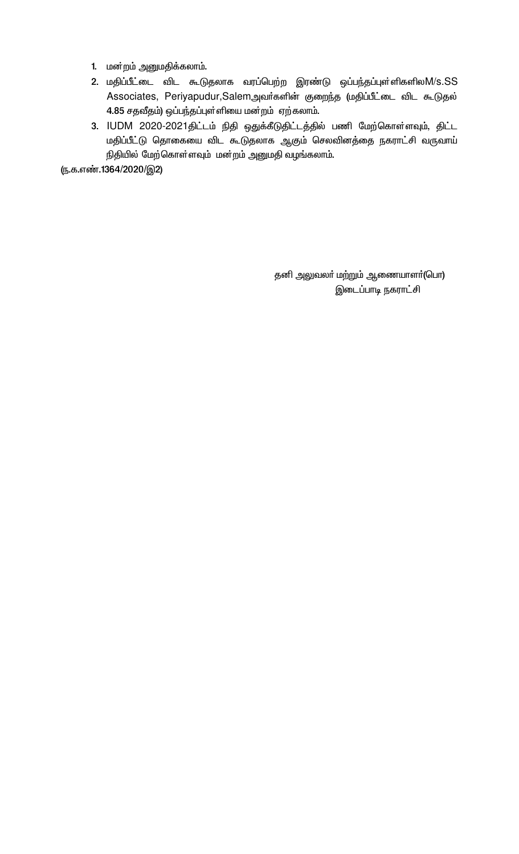- 1. மன்றம் அனுமதிக்கலாம்.
- 2. மதிப்பீட்டை விட கூடுதலாக வரப்பெற்ற இரண்டு ஒப்பந்தப்புள்ளிகளிலM/s.SS Associates, Periyapudur,Salemஅவர்களின் குறைந்த (மதிப்பீட்டை விட கூடுதல்  $4.85$  சதவீதம்) ஒப்பந்தப்புள்ளியை மன்றம் ஏற்கலாம்.
- 3. IUDM 2020-2021திட்டம் நிதி ஒதுக்கீடுதிட்டத்தில் பணி மேற்கொள்ளவும், திட்ட மதிப்பீட்டு தொகையை விட கூடுதலாக ஆகும் செலவினத்தை நகராட்சி வருவாய் நிதியில் மேற்கொள்ளவும் மன்றம் அனுமதி வழங்கலாம்.

(ந.க.எண்.1364/2020/இ2)

தனி அலுவலா் மற்றும் ஆணையாளா்(பொ) இடைப்பாடி நகராட்சி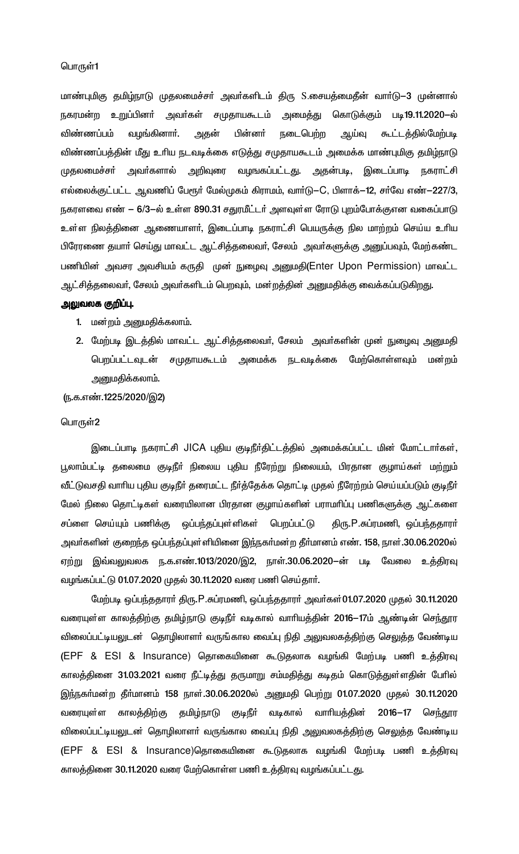மாண்புமிகு தமிழ்நாடு முதலமைச்சா் அவா்களிடம் திரு S.சையத்மைதீன் வாா்டு—3 முன்னால் நகரமன்ற உறுப்பினா் அவா்கள் சமுதாயகூடம் அமைத்து கொடுக்கும் படி19.11.2020-ல் விண்ணப்பம் வழங்கினாா். அதன் பின்னா் நடைபெற்ற ஆய்வு ௬ட்டத்தில்மேற்படி விண்ணப்பத்தின் மீது உரிய நடவடிக்கை எடுத்து சமுதாயகூடம் அமைக்க மாண்புமிகு தமிழ்நாடு முதலமைச்சா் அவா்களால் அறிவுரை வழஙகப்பட்டது. அதன்படி, இடைப்பாடி நகராட்சி எல்லைக்குட்பட்ட ஆவணிப் பேரூர் மேல்முகம் கிராமம், வார்டு—C, பிளாக்—12, சர்வே எண்—227/3, நகரளவை எண் — 6/3—ல் உள்ள 890.31 சதுரமீட்டர் அளவுள்ள ரோடு புறம்போக்குஎன வகைப்பாடு உள்ள நிலத்தினை ஆணையாளா், இடைப்பாடி நகராட்சி பெயருக்கு நில மாற்றம் செய்ய உாிய பிரேரணை தயாா் செய்து மாவட்ட ஆட்சித்தலைவா், சேலம் அவா்களுக்கு அனுப்பவும், மேற்கண்ட பணியின் அவசர அவசியம் கருதி முன் நுழைவு அனுமதி(Enter Upon Permission) மாவட்ட ஆட்சித்தலைவா், சேலம் அவா்களிடம் பெறவும், மன்றத்தின் அனுமதிக்கு வைக்கப்படுகிறது.

# அலுவலக குறிப்பு.

- 1. மன்றம் அனுமதிக்கலாம்.
- 2. மேற்படி இடத்தில் மாவட்ட ஆட்சித்தலைவா், சேலம் அவா்களின் முன் நுழைவு அனுமதி பெறப்பட்டவுடன் சமுதாயகூடம் அமைக்க நடவடிக்கை மேற்கொள்ளவும் மன்றம் அனுமதிக்கலாம்.

(ந.க.எண்.1225/2020/இ2)

### பொருள்2

இடைப்பாடி நகராட்சி JICA புதிய குடிநீர்திட்டத்தில் அமைக்கப்பட்ட மின் மோட்டார்கள், பூலாம்பட்டி தலைமை குடிநீா் நிலைய புதிய நீரேற்று நிலையம், பிரதான குழாய்கள் மற்றும் வீட்டுவசதி வாரிய புதிய குடிநீர் தரைமட்ட நீர்த்தேக்க தொட்டி முதல் நீரேற்றம் செய்யப்படும் குடிநீர் மேல் நிலை தொட்டிகள் வரையிலான பிரதான குழாய்களின் பராமாிப்பு பணிகளுக்கு ஆட்களை சப்ளை செய்யும் பணிக்கு ஒப்பந்தப்புள்ளிகள் பெறப்பட்டு திரு.P.சுப்ரமணி, ஒப்பந்ததாரா் அவா்களின் குறைந்த ஒப்பந்தப்புள்ளியினை இந்நகா்மன்ற தீா்மானம் எண். 158, நாள்.30.06.2020ல் ஏற்று இவ்வலுவலக ந.க.எண்.1013/2020/இ2, நாள்.30.06.2020—ன் படி வேலை உத்திரவு வழங்கப்பட்டு 01.07.2020 முதல் 30.11.2020 வரை பணி செய்தார்.

மேற்படி ஒப்பந்ததாரா் திரு.P.சுப்ரமணி, ஒப்பந்ததாரா் அவா்கள்01.07.2020 முதல் 30.11.2020 வரையுள்ள காலத்திற்கு தமிழ்நாடு குடிநீா் வடிகால் வாாியத்தின் 2016—17ம் ஆண்டின் செந்தூர விலைப்பட்டியலுடன் தொழிலாளா் வருங்கால வைப்பு நிதி அலுவலகத்திற்கு செலுத்த வேண்டிய (EPF & ESI & Insurance) தொகையினை கூடுதலாக வழங்கி மேற்படி பணி உத்திரவு காலத்தினை 31.03.2021 வரை நீட்டித்து தருமாறு சம்மதித்து கடிதம் கொடுத்துள்ளதின் பேரில் இந்நகா்மன்ற தீா்மானம் 158 நாள்.30.06.2020ல் அனுமதி பெற்று 01.07.2020 முதல் 30.11.2020 வரையுள்ள காலத்திற்கு தமிழ்நாடு குடிநீா் வடிகால் வாரியத்தின் 2016–17 செந்தூர விலைப்பட்டியலுடன் தொழிலாளா் வருங்கால வைப்பு நிதி அலுவலகத்திற்கு செலுத்த வேண்டிய (EPF & ESI & Insurance)தொகையினை கூடுதலாக வழங்கி மேற்படி பணி உத்திரவு காலக்தினை 30.11.2020 வரை மேற்கொள்ள பணி உத்திரவு வழங்கப்பட்டது.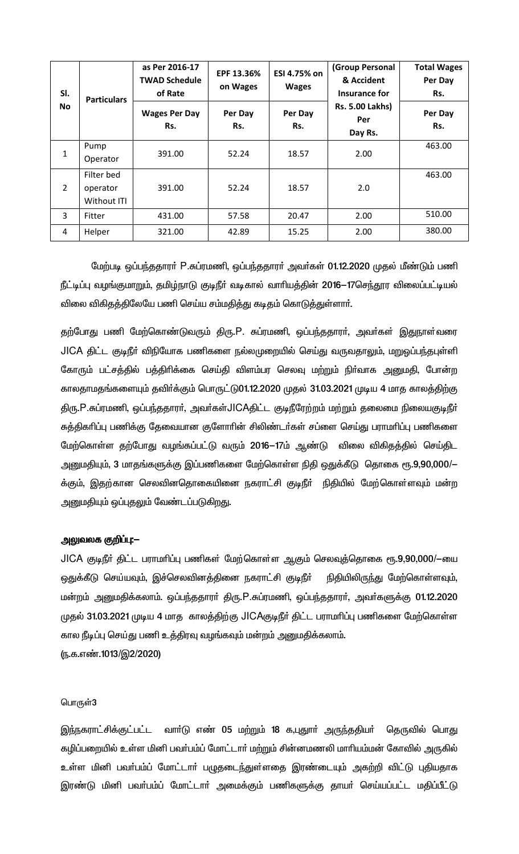| SI.            | <b>Particulars</b>                    | as Per 2016-17<br><b>TWAD Schedule</b><br>of Rate | EPF 13.36%<br>on Wages | ESI 4.75% on<br><b>Wages</b> | (Group Personal<br>& Accident<br>Insurance for | <b>Total Wages</b><br>Per Day<br>Rs. |
|----------------|---------------------------------------|---------------------------------------------------|------------------------|------------------------------|------------------------------------------------|--------------------------------------|
| <b>No</b>      |                                       | <b>Wages Per Day</b><br>Rs.                       | Per Day<br>Rs.         | Per Day<br>Rs.               | <b>Rs. 5.00 Lakhs)</b><br>Per<br>Day Rs.       | Per Day<br>Rs.                       |
| $1\,$          | Pump<br>Operator                      | 391.00                                            | 52.24                  | 18.57                        | 2.00                                           | 463.00                               |
| $\overline{2}$ | Filter bed<br>operator<br>Without ITI | 391.00                                            | 52.24                  | 18.57                        | 2.0                                            | 463.00                               |
| 3              | Fitter                                | 431.00                                            | 57.58                  | 20.47                        | 2.00                                           | 510.00                               |
| 4              | Helper                                | 321.00                                            | 42.89                  | 15.25                        | 2.00                                           | 380.00                               |

மேற்படி ஒப்பந்ததாரா் P.சுப்ரமணி, ஒப்பந்ததாரா் அவா்கள் 01.12.2020 முதல் மீண்டும் பணி நீட்டிப்பு வழங்குமாறும், தமிழ்நாடு குடிநீா் வடிகால் வாாியத்தின் 2016—17செந்தூர விலைப்பட்டியல் விலை விகிதத்திலேயே பணி செய்ய சம்மதித்து கடிதம் கொடுத்துள்ளாா்.

தற்போது பணி மேற்கொண்டுவரும் திரு.P. சுப்ரமணி, ஒப்பந்ததாரா், அவா்கள் இதுநாள்வரை JICA திட்ட குடிநீா் விநியோக பணிகளை நல்லமுறையில் செய்து வருவதாலும், மறுஓப்பந்தபுள்ளி கோரும் பட்சத்தில் பத்திாிக்கை செய்தி விளம்பர செலவு மற்றும் நிா்வாக அனுமதி, போன்ற காலதாமதங்களையும் தவிர்க்கும் பொருட்டு01.12.2020 முதல் 31.03.2021 முடிய 4 மாத காலத்திற்கு திரு.P.சுப்ரமணி, ஒப்பந்ததாரா், அவா்கள்JlCAதிட்ட குடிநீரேற்றம் மற்றும் தலைமை நிலையகுடிநீா் சுத்திகரிப்பு பணிக்கு தேவையான குளோரின் சிலிண்டர்கள் சப்ளை செய்து பராமரிப்பு பணிகளை மேற்கொள்ள தற்போது வழங்கப்பட்டு வரும் 2016–17ம் ஆண்டு விலை விகிதத்தில் செய்திட அனுமதியும், 3 மாதங்களுக்கு இப்பணிகளை மேற்கொள்ள நிதி ஒதுக்கீடு தொகை ரூ.9,90,000/— க்கும், இதற்கான செலவினதொகையினை நகராட்சி குடிநீா் நிதியில் மேற்கொள்ளவும் மன்ற அனுமதியும் ஒப்புதலும் வேண்டப்படுகிறது.

# அலுவலக குறிப்பு:—

JlCA குடிநீா் திட்ட பராமாிப்பு பணிகள் மேற்கொள்ள ஆகும் செலவுத்தொகை ரூ.9,90,000/-யை ஒதுக்கீடு செய்யவும், இச்செலவினத்தினை நகராட்சி குடிநீா் நிதியிலிருந்து மேற்கொள்ளவும், மன்றம் அனுமதிக்கலாம். ஒப்பந்ததாரா் திரு.P.சுப்ரமணி, ஒப்பந்ததாரா், அவா்களுக்கு 01.12.2020 முதல் 31.03.2021 முடிய 4 மாத காலத்திற்கு JICAகுடிநீர் திட்ட பராமரிப்பு பணிகளை மேற்கொள்ள கால நீடிப்பு செய்து பணி உத்திரவு வழங்கவும் மன்றம் அனுமதிக்கலாம். (ந.க.எண்.1013/இ2/2020)

#### பொருள்3

இந்நகராட்சிக்குட்பட்ட வாா்டு எண் 05 மற்றும் 18 க,புதுாா் அருந்ததியா் தெருவில் பொது கழிப்பறையில் உள்ள மினி பவர்பம்ப் மோட்டார் மற்றும் சின்னமணலி மாரியம்மன் கோவில் அருகில் உள்ள மினி பவா்பம்ப் மோட்டாா் பழுதடைந்துள்ளதை இரண்டையும் அகற்றி விட்டு புதியதாக இரண்டு மினி பவா்பம்ப் மோட்டாா் அமைக்கும் பணிகளுக்கு தாயா் செய்யப்பட்ட மதிப்பீட்டு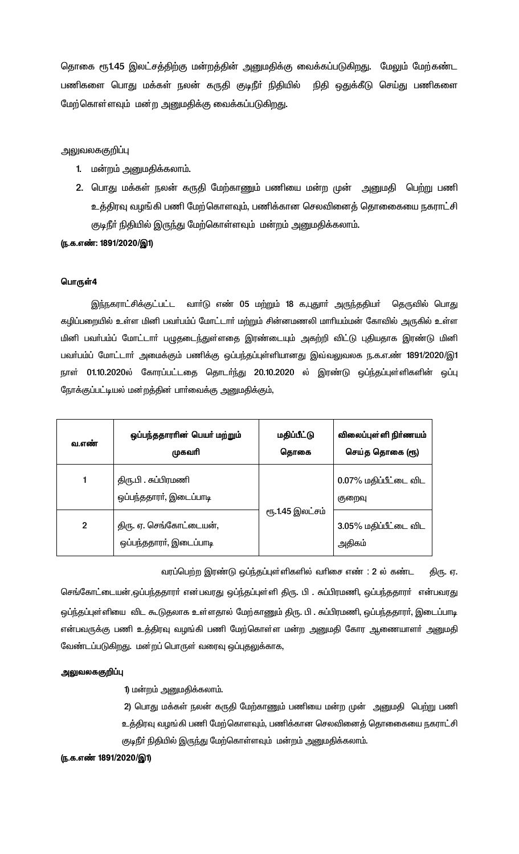தொகை ரூ1.45 இலட்சத்திற்கு மன்றத்தின் அனுமதிக்கு வைக்கப்படுகிறது. மேலும் மேற்கண்ட பணிகளை பொது மக்கள் நலன் கருதி குடிநீா் நிதியில் நிதி ஒதுக்கீடு செய்து பணிகளை மேற்கொள்ளவும் மன்ற அனுமதிக்கு வைக்கப்படுகிறது.

### அலுவலககுறிப்பு

- 1. மன்றம் அனுமதிக்கலாம்.
- 2. பொது மக்கள் நலன் கருதி மேற்காணும் பணியை மன்ற முன் அனுமதி பெற்று பணி உத்திரவு வழங்கி பணி மேற்கொளவும், பணிக்கான செலவினைத் தொகையை நகராட்சி குடிநீா் நிதியில் இருந்து மேற்கொள்ளவும் மன்றம் அனுமதிக்கலாம்.

#### (ந.க.எண்: 1891/2020/இ1)

### பொருள்4

இந்நகராட்சிக்குட்பட்ட வாா்டு எண் 05 மற்றும் 18 க,புதுாா் அருந்ததியா் தெருவில் பொது கழிப்பறையில் உள்ள மினி பவர்பம்ப் மோட்டார் மற்றும் சின்னமணலி மாரியம்மன் கோவில் அருகில் உள்ள மினி பவா்பம்ப் மோட்டாா் பழுதடைந்துள்ளதை இரண்டையும் அகற்றி விட்டு புதியதாக இரண்டு மினி பவா்பம்ப் மோட்டாா் அமைக்கும் பணிக்கு ஒப்பந்தப்புள்ளியானது இவ்வலுவலக ந.க.எ.ண் 1891/2020/இ1 நாள் 01.10.2020ல் கோரப்பட்டதை தொடர்ந்து 20.10.2020 ல் இரண்டு ஒப்ந்தப்புள்ளிகளின் ஒப்பு நோக்குப்பட்டியல் மன்றத்தின் பார்வைக்கு அனுமதிக்கும்,

| வ.எண்          | ஒப்பந்ததாரரின் பெயர் மற்றும்<br>முகவரி             | மதிப்பீட்டு<br>தொகை | விலைப்புள்ளி நிர்ணயம்<br>செய்த தொகை (ரூ) |
|----------------|----------------------------------------------------|---------------------|------------------------------------------|
|                | திரு.பி . சுப்பிரமணி<br>ஒப்பந்ததாரா், இடைப்பாடி    |                     | 0.07% மதிப்பீட்டை விட<br>குறைவு          |
| $\overline{2}$ | திரு. ஏ. செங்கோட்டையன்,<br>ஒப்பந்ததாரா், இடைப்பாடி | ரூ.1.45 இலட்சம்     | 3.05% மதிப்பீட்டை விட<br>அதிகம்          |

வரப்பெற்ற இரண்டு ஒப்ந்தப்புள்ளிகளில் வரிசை எண் : 2 ல் கண்ட திரு. ஏ.

செங்கோட்டையன்,ஒப்பந்ததாரா் என்பவரது ஒப்ந்தப்புள்ளி திரு. பி . சுப்பிரமணி, ஒப்பந்ததாரா் என்பவரது ஒப்ந்தப்புள்ளியை விட கூடுதலாக உள்ளதால் மேற்காணும் திரு. பி . சுப்பிரமணி, ஒப்பந்ததாரா், இடைப்பாடி என்பவருக்கு பணி உத்திரவு வழங்கி பணி மேற்கொள்ள மன்ற அனுமதி கோர ஆணையாளா் அனுமதி வேண்டப்படுகிறது. மன்றப் பொருள் வரைவு ஒப்புதலுக்காக,

### அலுவலககுறிப்பு

1) மன்றம் அனுமதிக்கலாம்.

2) பொது மக்கள் நலன் கருதி மேற்காணும் பணியை மன்ற முன் அனுமதி பெற்று பணி உத்திரவு வழங்கி பணி மேற்கொளவும், பணிக்கான செலவினைத் தொகைகயை நகராட்சி குடிநீா் நிதியில் இருந்து மேற்கொள்ளவும் மன்றம் அனுமதிக்கலாம்.

### (ந.க.எண் 1891/2020/இ1)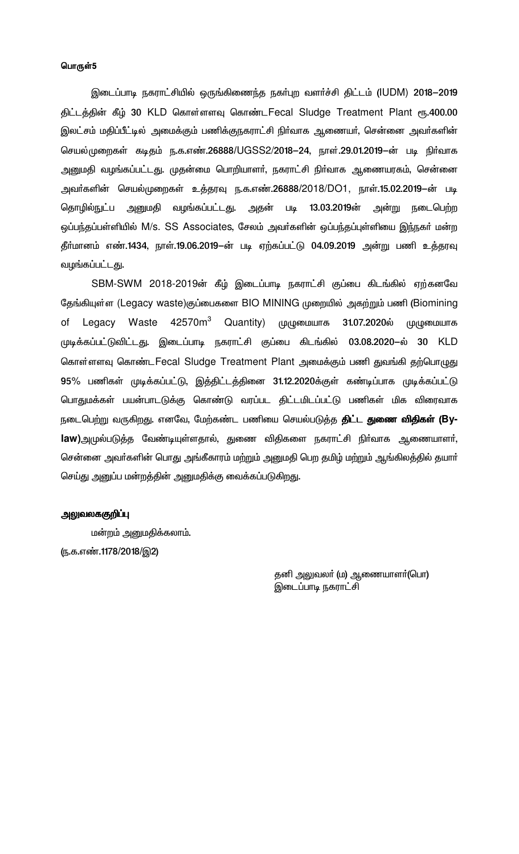இடைப்பாடி நகராட்சியில் ஒருங்கிணைந்த நகர்புற வளர்ச்சி திட்டம் (IUDM) 2018-2019 திட்டத்தின் கீழ் 30 KLD கொள்ளளவு கொண்டFecal Sludge Treatment Plant ரூ.400.00 இலட்சம் மதிப்பீட்டில் அமைக்கும் பணிக்குநகராட்சி நிா்வாக ஆணையா், சென்னை அவா்களின் செயல்முறைகள் கடிதம் ந.க.எண்.26888/UGSS2/2018–24, நாள்.29.01.2019–ன் படி நிர்வாக அனுமதி வழங்கப்பட்டது. முதன்மை பொறியாளா், நகராட்சி நிா்வாக ஆணையரகம், சென்னை அவா்களின் செயல்முறைகள் உத்தரவு ந.க.எண்.26888/2018/DO1, நாள்.15.02.2019—ன் படி அன்று நடைபெற்ற தொழில்நுட்ப அனுமதி வழங்கப்பட்டது. அதன் படி 13.03.2019ன் ஒப்பந்தப்பள்ளியில் M/s. SS Associates, சேலம் அவர்களின் ஒப்பந்தப்புள்ளியை இந்நகர் மன்ற தீா்மானம் எண்.1434, நாள்.19.06.2019—ன் படி ஏற்கப்பட்டு 04.09.2019 அன்று பணி உத்தரவு வழங்கப்பட்டது.

SBM-SWM 2018-2019ன் கீழ் இடைப்பாடி நகராட்சி குப்பை கிடங்கில் ஏற்கனவே தேங்கியுள்ள (Legacy waste)குப்பைகளை BIO MINING முறையில் அகற்றும் பணி (Biomining 42570 $\mathsf{m}^3$ Legacy Waste Quantity) முழுமையாக 31.07.2020ல் முழுமையாக of முடிக்கப்பட்டுவிட்டது. இடைப்பாடி நகராட்சி குப்பை கிடங்கில் 03.08.2020-ல் 30 KLD கொள்ளளவு கொண்டFecal Sludge Treatment Plant அமைக்கும் பணி துவங்கி தற்பொழுது 95% பணிகள் முடிக்கப்பட்டு, இத்திட்டத்தினை 31.12.2020க்குள் கண்டிப்பாக முடிக்கப்பட்டு பொதுமக்கள் பயன்பாடடுக்கு கொண்டு வரப்பட திட்டமிடப்பட்டு பணிகள் மிக விரைவாக நடைபெற்று வருகிறது. எனவே, மேற்கண்ட பணியை செயல்படுத்த **திட்ட துணை விதிகள் (By**law)அமுல்படுத்த வேண்டியுள்ளதால், துணை விதிகளை நகராட்சி நிர்வாக ஆணையாளர், சென்னை அவர்களின் பொது அங்கீகாரம் மற்றும் அனுமதி பெற தமிழ் மற்றும் ஆங்கிலத்தில் தயார் செய்து அனுப்ப மன்றத்தின் அனுமதிக்கு வைக்கப்படுகிறது.

#### அலுவலககுறிப்பு

மன்றம் அனுமதிக்கலாம். (ந.க.எண்.1178/2018/இ2)

> தனி அலுவலா் (ம) ஆணையாளா்(பொ) இடைப்பாடி நகராட்சி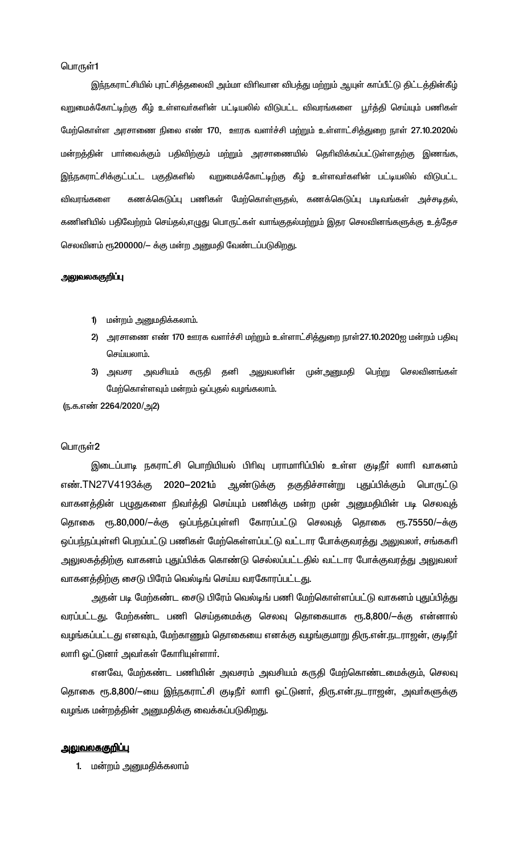இந்நகராட்சியில் புரட்சித்தலைவி அம்மா விரிவான விபத்து மற்றும் ஆயுள் காப்பீட்டு திட்டத்தின்கீழ் வறுமைக்கோட்டிற்கு கீழ் உள்ளவா்களின் பட்டியலில் விடுபட்ட விவரங்களை பூா்த்தி செய்யும் பணிகள் மேற்கொள்ள அரசாணை நிலை எண் 170, ஊரக வளர்ச்சி மற்றும் உள்ளாட்சித்துறை நாள் 27.10.2020ல் மன்றத்தின் பாா்வைக்கும் பதிவிற்கும் மற்றும் அரசாணையில் தொிவிக்கப்பட்டுள்ளதற்கு இணங்க, இந்நகராட்சிக்குட்பட்ட பகுதிகளில் வறுமைக்கோட்டிற்கு கீழ் உள்ளவா்களின் பட்டியலில் விடுபட்ட கணக்கெடுப்பு பணிகள் மேற்கொள்ளுதல், கணக்கெடுப்பு படிவங்கள் அச்சடிதல், விவரங்களை கணினியில் பதிவேற்றம் செய்தல்,எழுது பொருட்கள் வாங்குதல்மற்றும் இதர செலவினங்களுக்கு உத்தேச செலவினம் ரூ200000/- க்கு மன்ற அனுமதி வேண்டப்படுகிறது.

### அலுவலககுறிப்பு

- 1) மன்றம் அனுமதிக்கலாம்.
- 2) அரசாணை எண் 170 ஊரக வளர்ச்சி மற்றும் உள்ளாட்சித்துறை நாள்27.10.2020ஐ மன்றம் பதிவு செய்யலாம்.
- 3) அவசர அவசியம் கருதி தனி அலுவலாின் முன்அனுமதி பெற்று செலவினங்கள் மேற்கொள்ளவும் மன்றம் ஒப்புதல் வழங்கலாம்.

(ந.க.எண் 2264/2020/அ2)

#### பொருள்2

இடைப்பாடி நகராட்சி பொறியியல் பிரிவு பராமாரிப்பில் உள்ள குடிநீர் லாரி வாகனம் எண்.TN27V4193க்கு 2020–2021ம் ஆண்டுக்கு தகுதிச்சான்று புதுப்பிக்கும் பொருட்டு வாகனத்தின் பழுதுகளை நிவா்த்தி செய்யும் பணிக்கு மன்ற முன் அனுமதியின் படி செலவுத் தொகை ரூ.80,000/-க்கு ஒப்பந்தப்புள்ளி கோரப்பட்டு செலவுத் தொகை ரூ.75550/-க்கு ஒப்பந்நப்புள்ளி பெறப்பட்டு பணிகள் மேற்கெள்ளப்பட்டு வட்டார போக்குவரத்து அலுவலர், சங்ககரி அலுலகத்திற்கு வாகனம் புதுப்பிக்க கொண்டு செல்லப்பட்டதில் வட்டார போக்குவரத்து அலுவலா் வாகனத்திற்கு சைடு பிரேம் வெல்டிங் செய்ய வரகோரப்பட்டது.

அதன் படி மேற்கண்ட சைடு பிரேம் வெல்டிங் பணி மேற்கொள்ளப்பட்டு வாகனம் புதுப்பித்து வரப்பட்டது. மேற்கண்ட பணி செய்தமைக்கு செலவு தொகையாக ரூ.8,800/ $-$ க்கு என்னால் வழங்கப்பட்டது எனவும், மேற்காணும் தொகையை எனக்கு வழங்குமாறு திரு.என்.நடராஜன், குடிநீா் லாரி ஓட்டுனா் அவா்கள் கோரியுள்ளாா்.

எனவே, மேற்கண்ட பணியின் அவசரம் அவசியம் கருதி மேற்கொண்டமைக்கும், செலவு தொகை ரூ.8,800/—யை இந்நகராட்சி குடிநீா் லாாி ஓட்டுனா், திரு.என்.நடராஜன், அவா்களுக்கு வழங்க மன்றத்தின் அனுமதிக்கு வைக்கப்படுகிறது.

### <u>அலுவலககுறிப்பு</u>

1. மன்றம் அனுமதிக்கலாம்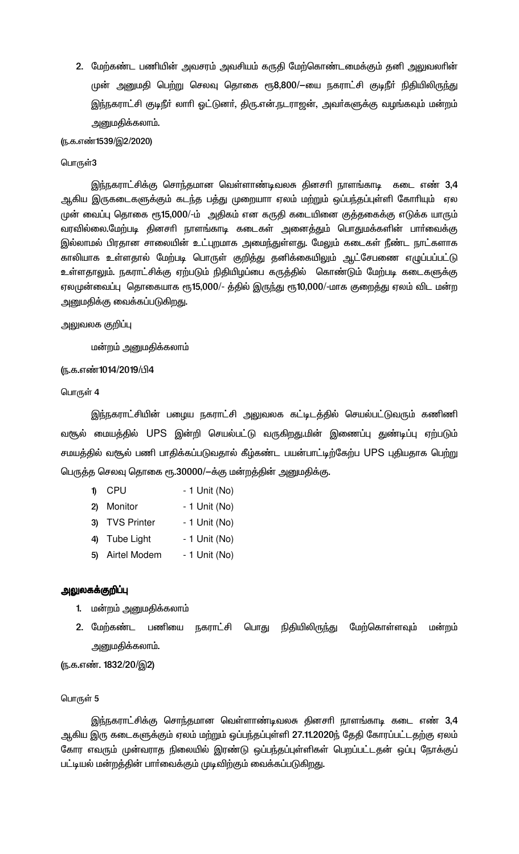2. மேற்கண்ட பணியின் அவசரம் அவசியம் கருதி மேற்கொண்டமைக்கும் தனி அலுவலாின் முன் அனுமதி பெற்று செலவு தொகை ரூ8,800/—யை நகராட்சி குடிநீா் நிதியிலிருந்து இந்நகராட்சி குடிநீா் லாாி ஓட்டுனா், திரு.என்.நடராஜன், அவா்களுக்கு வழங்கவும் மன்றம் <u>அனுமதிக்கலாம்.</u>

<u>(ந</u>.க.எண்1539/இ2/2020)

#### பொருள்3

இந்நகராட்சிக்கு சொந்தமான வெள்ளாண்டிவலசு தினசாி நாளங்காடி கடை எண் 3,4 ஆகிய இருகடைகளுக்கும் கடந்த பத்து முறையாா ஏலம் மற்றும் ஒப்பந்தப்புள்ளி கோாியும் ஏல முன் வைப்பு தொகை ரூ15,000/-ம் அதிகம் என கருதி கடையினை குத்தகைக்கு எடுக்க யாரும் வரவில்லை.மேற்படி தினசரி நாளங்காடி கடைகள் அனைத்தும் பொதுமக்களின் பார்வைக்கு இல்லாமல் பிரதான சாலையின் உட்புறமாக அமைந்துள்ளது. மேலும் கடைகள் நீண்ட நாட்களாக காலியாக உள்ளதால் மேற்படி பொருள் குறித்து தனிக்கையிலும் ஆட்சேபணை எழுப்பப்பட்டு உள்ளதாலும். நகராட்சிக்கு ஏற்படும் நிதியிழப்பை கருத்தில் கொண்டும் மேற்படி கடைகளுக்கு ஏலமுன்வைப்பு தொகையாக ரூ15,000/- த்தில் இருந்து ரூ10,000/-மாக குறைத்து ஏலம் விட மன்ற அனுமதிக்கு வைக்கப்படுகிறது.

அலுவலக குறிப்பு

மன்றம் அனுமதிக்கலாம்

### ரு.க.எண்1014/2019/பி4

பொருள் 4

இந்நகராட்சியின் பழைய நகராட்சி அலுவலக கட்டிடத்தில் செயல்பட்டுவரும் கணிணி வசூல் மையத்தில் UPS இன்றி செயல்பட்டு வருகிறது.மின் இணைப்பு துண்டிப்பு ஏற்படும் சமயத்தில் வரூல் பணி பாதிக்கப்படுவதால் கீழ்கண்ட பயன்பாட்டிற்கேற்ப UPS புதியதாக பெற்று பெருத்த செலவு தொகை ரூ.30000/—க்கு மன்றத்தின் அனுமதிக்கு.

| $\mathbf{D}$ | CPU                | - 1 Unit (No) |
|--------------|--------------------|---------------|
| $\mathbf{2}$ | Monitor            | - 1 Unit (No) |
| 3)           | <b>TVS Printer</b> | - 1 Unit (No) |
|              | 4) Tube Light      | - 1 Unit (No) |
|              | 5) Airtel Modem    | - 1 Unit (No) |

### அலுலகக்குறிப்பு

- 1. மன்றம் அனுமதிக்கலாம்
- 2. மேற்கண்ட பணியை நகராட்சி பொது நிதியிலிருந்து மேற்கொள்ளவும் மன்றம் அனுமதிக்கலாம்.

(ந.க.எண். 1832/20/இ2)

#### பொருள் 5

இந்நகராட்சிக்கு சொந்தமான வெள்ளாண்டிவலசு தினசாி நாளங்காடி கடை எண் 3,4 ஆகிய இரு கடைகளுக்கும் ஏலம் மற்றும் ஒப்பந்தப்புள்ளி 27.11.2020ந் தேதி கோரப்பட்டதற்கு ஏலம் கோர எவரும் முன்வராத நிலையில் இரண்டு ஒப்பந்தப்புள்ளிகள் பெறப்பட்டதன் ஒப்பு நோக்குப் பட்டியல் மன்றத்தின் பாா்வைக்கும் முடிவிற்கும் வைக்கப்படுகிறது.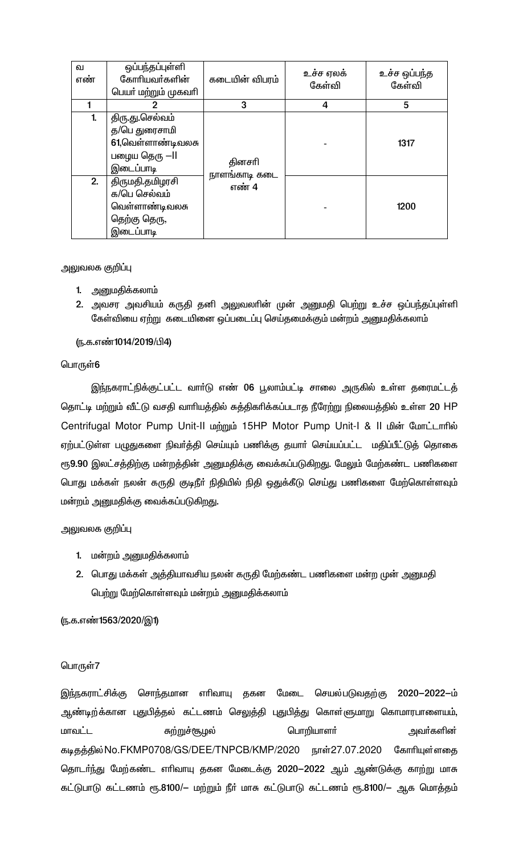| வ<br>எண் | ஒப்பந்தப்புள்ளி<br>கோரியவர்களின்<br>பெயா் மற்றும் முகவாி                            | கடையின் விபரம்          | உச்ச ஏலக்<br>கேள்வி | உச்ச ஒப்பந்த<br>கேள்வி |
|----------|-------------------------------------------------------------------------------------|-------------------------|---------------------|------------------------|
|          |                                                                                     | 3                       | 4                   | 5                      |
| 1.       | திரு.து.செல்வம்<br>த/பெ துரைசாமி<br>61,வெள்ளாண்டிவலசு<br>பழைய தெரு —II<br>இடைப்பாடி | தினசரி<br>நாளங்காடி கடை |                     | 1317                   |
| 2.       | திருமதி.தமிழரசி<br>க/பெ செல்வம்<br>வெள்ளாண்டிவலசு<br>தெற்கு தெரு,<br>இடைப்பாடி      | எண் 4                   |                     | 1200                   |

அலுவலக குறிப்பு

- 1. அனுமதிக்கலாம்
- 2. அவசர அவசியம் கருதி தனி அலுவலாின் முன் அனுமதி பெற்று உச்ச ஒப்பந்தப்புள்ளி கேள்வியை ஏற்று கடையினை ஒப்படைப்பு செய்தமைக்கும் மன்றம் அனுமதிக்கலாம்

(ந.க.எண்1014/2019/பி4)

### பொருள்6

இந்நகராட்நிக்குட்பட்ட வாா்டு எண் 06 பூலாம்பட்டி சாலை அருகில் உள்ள தரைமட்டத் தொட்டி மற்றும் வீட்டு வசதி வாரியத்தில் சுத்திகரிக்கப்படாத நீரேற்று நிலையத்தில் உள்ள 20 HP Centrifugal Motor Pump Unit-II மற்றும் 15HP Motor Pump Unit-I & II மின் மோட்டாரில் ஏற்பட்டுள்ள பழுதுகளை நிவர்த்தி செய்யும் பணிக்கு தயார் செய்யப்பட்ட மதிப்பீட்டுத் தொகை ரூ9.90 இலட்சத்திற்கு மன்றத்தின் அனுமதிக்கு வைக்கப்படுகிறது. மேலும் மேற்கண்ட பணிகளை பொது மக்கள் நலன் கருதி குடிநீா் நிதியில் நிதி ஒதுக்கீடு செய்து பணிகளை மேற்கொள்ளவும் மன்றம் அனுமதிக்கு வைக்கப்படுகிறது.

அலுவலக குறி**ப்**பு

- 1. மன்றம் அனுமதிக்கலாம்
- 2. பொது மக்கள் அத்தியாவசிய நலன் கருதி மேற்கண்ட பணிகளை மன்ற முன் அனுமதி பெற்று மேற்கொள்ளவும் மன்றம் அனுமதிக்கலாம்

(ந.க.எண்1563/2020/இ1)

### பொருள்7

இந்நகராட்சிக்கு சொந்தமான எரிவாயு தகன மேடை செயல்படுவதற்கு 2020—2022—ம் ஆண்டிற்க்கான புதுபித்தல் கட்டணம் செலுத்தி புதுபித்து கொள்ளுமாறு கொமாரபாளையம், மாவட்ட சுற்றுச்சூழல் பொறியாளா் அவா்களின் கடிதத்தில் No.FKMP0708/GS/DEE/TNPCB/KMP/2020 நாள்27.07.2020 கோரியுள்ளதை தொடா்ந்து மேற்கண்ட எாிவாயு தகன மேடைக்கு 2020-2022 ஆம் ஆண்டுக்கு காற்று மாசு கட்டுபாடு கட்டணம் ரூ.8100/— மற்றும் நீா் மாசு கட்டுபாடு கட்டணம் ரூ.8100/— ஆக மொத்தம்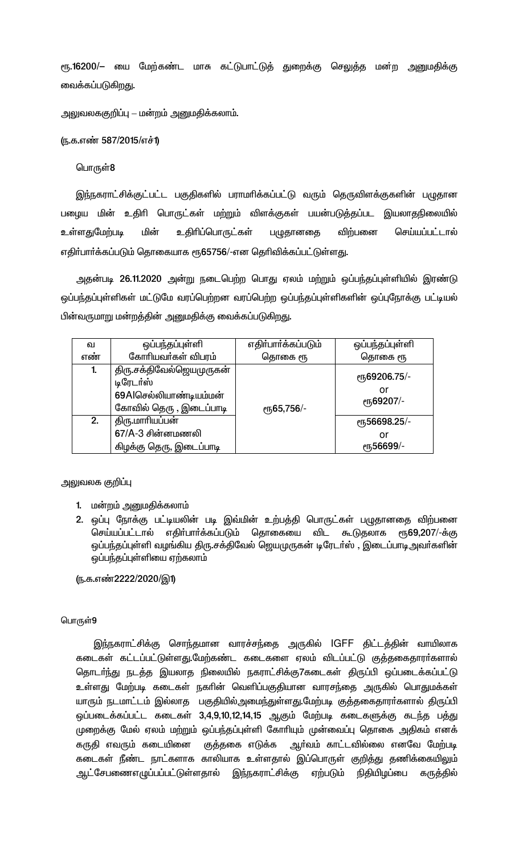ரூ.16200/— யை மேற்கண்ட மாசு கட்டுபாட்டுத் துறைக்கு செலுத்த மன்ற அனுமதிக்கு வைக்கப்படுகிறது.

அலுவலககுறிப்பு – மன்றம் அனுமதிக்கலாம்.

(ந.க.எண் 587/2015/எச்1)

பொருள்8

இந்நகராட்சிக்குட்பட்ட பகுதிகளில் பராமாிக்கப்பட்டு வரும் தெருவிளக்குகளின் பழுதான பழைய மின் உதிரி பொருட்கள் மற்றும் விளக்குகள் பயன்படுத்தப்பட இயலாதநிலையில் உள்ளதுமேற்படி உதிரிப்பொருட்கள் மின் பழுதானதை விற்பனை செய்யப்பட்டால் எதிர்பார்க்கப்படும் தொகையாக ரூ65756/-என தெரிவிக்கப்பட்டுள்ளது.

அதன்படி 26.11.2020 அன்று நடைபெற்ற பொது ஏலம் மற்றும் ஒப்பந்தப்புள்ளியில் இரண்டு ஒப்பந்தப்புள்ளிகள் மட்டுமே வரப்பெற்றன வரப்பெற்ற ஒப்பந்தப்புள்ளிகளின் ஒப்புநோக்கு பட்டியல் பின்வருமாறு மன்றத்தின் அனுமதிக்கு வைக்கப்படுகிறது.

| ഖ            | ஒப்பந்தப்புள்ளி                                                                            | எதிர்பார்க்கப்படும் | ஒப்பந்தப்புள்ளி                                       |
|--------------|--------------------------------------------------------------------------------------------|---------------------|-------------------------------------------------------|
| எண           | கோரியவர்கள் விபரம்                                                                         | தொகை ரூ             | தொகை ரூ                                               |
| $\mathbf{1}$ | திரு.சக்திவேல்ஜெயமுருகன்<br>டிரேடர்ஸ்<br>69Alசெல்லியாண்டியம்மன்<br>கோவில் தெரு , இடைப்பாடி | <b>е</b> ҧ65,756/-  | er <sub>5</sub> 69206.75/-<br>or<br>еҧ69207/-         |
| 2.           | திரு.மாரியப்பன்<br>$67/A - 3$ சின்னமணலி<br>கிழக்கு தெரு, இடைப்பாடி                         |                     | er <sub>5</sub> 56698.25/-<br>or<br><b>е</b> ҧ56699/- |

அலுவலக குறி**ப்**பு

- 1. மன்றம் அனுமதிக்கலாம்
- 2. ஒப்பு நோக்கு பட்டியலின் படி இவ்மின் உற்பத்தி பொருட்கள் பழுதானதை விற்பனை செய்யப்பட்டால் எதிா்பாா்க்கப்படும் தொகையை விட கூடுதலாக ரூ69,207/-க்கு ஒப்பந்தப்புள்ளி வழங்கிய திரு.சக்திவேல் ஜெயமுருகன் டிரேடா்ஸ் , இடைப்பாடிஅவா்களின் ஒப்பந்தப்புள்ளியை ஏற்கலாம்

(ந.க.எண்2222/2020/இ1)

#### பொருள்9

இந்நகராட்சிக்கு சொந்தமான வாரச்சந்தை அருகில் IGFF திட்டத்தின் வாயிலாக கடைகள் கட்டப்பட்டுள்ளது.மேற்கண்ட கடைகளை ஏலம் விடப்பட்டு குத்தகைதாரா்களால் தொடா்ந்து நடத்த இயலாத நிலையில் நகராட்சிக்கு7கடைகள் திருப்பி ஒப்படைக்கப்பட்டு உள்ளது மேற்படி கடைகள் நகரின் வெளிப்பகுதியான வாரசந்தை அருகில் பொதுமக்கள் யாரும் நடமாட்டம் இல்லாத பகுதியில்அமைந்துள்ளது.மேற்படி குத்தகைதாரா்களால் திருப்பி ஒப்படைக்கப்பட்ட கடைகள் 3,4,9,10,12,14,15 ஆகும் மேற்படி கடைகளுக்கு கடந்த பத்து முறைக்கு மேல் ஏலம் மற்றும் ஒப்பந்தப்புள்ளி கோரியும் முன்வைப்பு தொகை அதிகம் எனக் குத்தகை எடுக்க ஆர்வம் காட்டவில்லை எனவே மேற்படி கருதி எவரும் கடையினை கடைகள் நீண்ட நாட்களாக காலியாக உள்ளதால் இப்பொருள் குறித்து தணிக்கையிலும் ஆட்சேபணைஎழுப்பப்பட்டுள்ளதால் இந்நகராட்சிக்கு ஏற்படும் நிதியிழப்பை கருத்தில்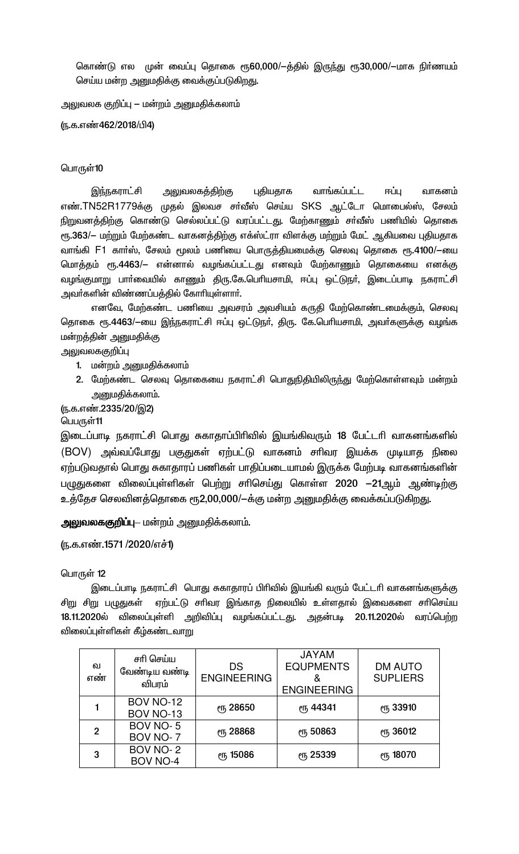கொண்டு எல முன் வைப்பு தொகை ரூ60,000/—த்தில் இருந்து ரூ30,000/—மாக நிா்ணயம் செய்ய மன்ற அனுமதிக்கு வைக்குப்படுகிறது.

அலுவலக குறிப்பு — மன்றம் அனுமதிக்கலாம்

(ந.க.எண்462/2018/பி4)

### பொருள்10

இந்நகராட்சி அலுவலகத்திற்கு புதியதாக வாங்கப்பட்ட ஈப்ப வாகனம் எண்.TN52R1779க்கு முதல் இலவச சர்வீஸ் செய்ய SKS ஆட்டோ மொபைல்ஸ், சேலம் நிறுவனத்திற்கு கொண்டு செல்லப்பட்டு வரப்பட்டது. மேற்காணும் சா்வீஸ் பணியில் தொகை ரூ.363/— மற்றும் மேற்கண்ட வாகனத்திற்கு எக்ஸ்ட்ரா விளக்கு மற்றும் மேட் ஆகியவை புதியதாக வாங்கி F1 காா்ஸ், சேலம் மூலம் பணியை பொருத்தியமைக்கு செலவு தொகை ரூ.4100/—யை மொத்தம் ரூ.4463/– என்னால் வழங்கப்பட்டது எனவும் மேற்காணும் தொகையை எனக்கு வழங்குமாறு பார்வையில் காணும் திரு.கே.பெரியசாமி, ஈப்பு ஒட்டுநர், இடைப்பாடி நகராட்சி அவர்களின் விண்ணப்பத்தில் கோரியுள்ளார்.

எனவே, மேற்கண்ட பணியை அவசரம் அவசியம் கருதி மேற்கொண்டமைக்கும், செலவு தொகை ரூ.4463/—யை இந்நகராட்சி ஈப்பு ஒட்டுநா், திரு. கே.பொியசாமி, அவா்களுக்கு வழங்க மன்றத்தின் அனுமதிக்கு

# அலுவலககுறிப்பு

- 1. மன்றம் அனுமதிக்கலாம்
- 2. மேற்கண்ட செலவு தொகையை நகராட்சி பொதுநிதியிலிருந்து மேற்கொள்ளவும் மன்றம் அனுமதிக்கலாம்.

(ந.க.எண்.2335/20/இ2)

### பெபருள்11

இடைப்பாடி நகராட்சி பொது சுகாதாப்பிரிவில் இயங்கிவரும் 18 பேட்டரி வாகனங்களில் (BOV) அவ்வப்போது பகுதுகள் ஏற்பட்டு வாகனம் சாிவர இயக்க முடியாத நிலை ஏற்படுவதால் பொது சுகாதாரப் பணிகள் பாதிப்படையாமல் இருக்க மேற்படி வாகனங்களின் பழுதுகளை விலைப்புள்ளிகள் பெற்று சாிசெய்து கொள்ள 2020 —21ஆம் ஆண்டிற்கு உத்தேச செலவினத்தொகை ரூ2,00,000/-க்கு மன்ற அனுமதிக்கு வைக்கப்படுகிறது.

**அலுவலககுறிப்பு**— மன்றம் அனுமதிக்கலாம்.

(ந.க.எண்.1571 /2020/எச்1)

### பொருள் 12

இடைப்பாடி நகராட்சி பொது சுகாதாரப் பிரிவில் இயங்கி வரும் பேட்டரி வாகனங்களுக்கு ஏற்பட்டு சாிவர இங்காத நிலையில் உள்ளதால் இவைகளை சாிசெய்ய சிறு சிறு பழுதுகள் 18.11.2020ல் விலைப்புள்ளி அறிவிப்பு வழங்கப்பட்டது. அதன்படி 20.11.2020ல் வரப்பெற்ற விலைப்புள்ளிகள் கீழ்கண்டவாறு

| ഖ<br>எண | சரி செய்ய<br>வேண்டிய வண்டி<br>விபரம் | DS<br><b>ENGINEERING</b> | <b>JAYAM</b><br><b>EQUPMENTS</b><br><b>ENGINEERING</b> | <b>DM AUTO</b><br><b>SUPLIERS</b> |
|---------|--------------------------------------|--------------------------|--------------------------------------------------------|-----------------------------------|
|         | <b>BOV NO-12</b><br>BOV NO-13        | ரு 28650                 | ரு 44341                                               | <sub>C</sub> <sup>1</sup> 33910   |
| 2       | BOV NO-5<br>BOV NO-7                 | ரு 28868                 | <b>ет</b> , 50863                                      | ரு 36012                          |
| 3       | BOV NO-2<br><b>BOV NO-4</b>          | <b>е</b> ђ 15086         | ரு 25339                                               | <b>е</b> ҧ 18070                  |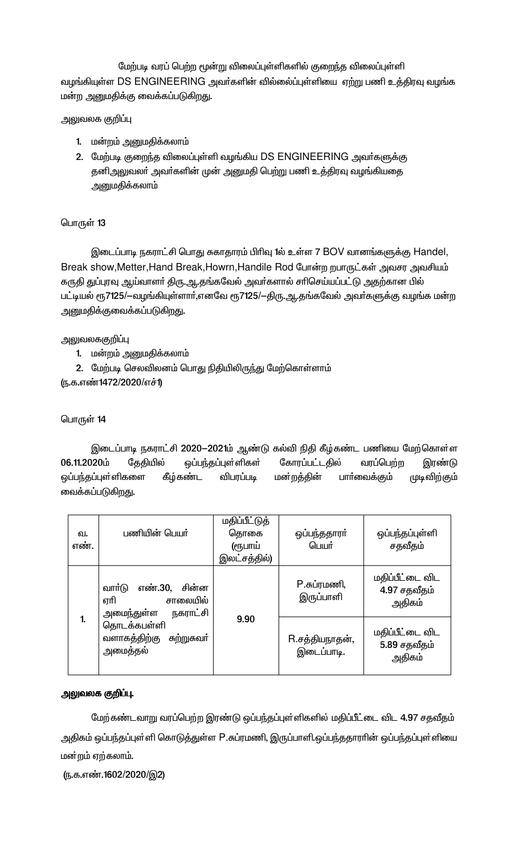மேற்படி வரப் பெற்ற மூன்று விலைப்புள்ளிகளில் குறைந்த விலைப்புள்ளி வழங்கியுள்ள DS ENGINEERING அவர்களின் வில்லைப்புள்ளியை ஏற்று பணி உத்திரவு வழங்க மன்ற அனுமதிக்கு வைக்கப்படுகிறது.

# அலுவலக குறிப்பு

- 1. மன்றம் அனுமதிக்கலாம்
- 2. மேற்படி குறைந்த விலைப்புள்ளி வழங்கிய DS ENGINEERING அவர்களுக்கு தனிஅலுவலா் அவா்களின் முன் அனுமதி பெற்று பணி உத்திரவு வழங்கியதை அனுமதிக்கலாம்

# பொருள் 13

இடைப்பாடி நகராட்சி பொது சுகாதாரம் பிரிவு 1ல் உள்ள 7 BOV வானங்களுக்கு Handel, Break show, Metter, Hand Break, Howrn, Handile Rod போன்ற றபாருட்கள் அவசர அவசியம் கருதி துப்புரவு ஆய்வாளா் திரு.ஆ.தங்கவேல் அவா்களால் சாிசெய்யப்பட்டு அதற்கான பில் பட்டியல் ரூ7125/—வழங்கியுள்ளாா்,எனவே ரூ7125/—திரு.ஆ.தங்கவேல் அவா்களுக்கு வழங்க மன்ற அனுமதிக்குவைக்கப்படுகிறது.

# அலுவலககுறிப்பு

- 1. மன்றம் அனுமதிக்கலாம்
- 2. மேற்படி செலவிலனம் பொது நிதியிலிருந்து மேற்கொள்ளாம்

(ந.க.எண்1472/2020/எச்1)

# பொருள் 14

இடைப்பாடி நகராட்சி 2020–2021ம் ஆண்டு கல்வி நிதி கீழ்கண்ட பணியை மேற்கொள்ள 06.11.2020ம் தேதியில் கோரப்பட்டதில் ஒப்பந்தப்புள்ளிகள் வரப்பெற்ற இரண்டு ஒப்பந்தப்புள்ளிகளை கீழ்கண்ட விபரப்படி மன்றத்தின் பாா்வைக்கும் முடிவிற்கு**ம்** வைக்கப்படுகிறது.

| வ.<br>எண். | பணியின் பெயர்                                                           | மதிப்பீட்டுத்<br>தொகை<br>(ரூபாய்<br>இலட்சத்தில்) | ஒப்பந்ததாரா்<br>பெயர்        | ஒப்பந்தப்புள்ளி<br>சதவீதம்                |
|------------|-------------------------------------------------------------------------|--------------------------------------------------|------------------------------|-------------------------------------------|
|            | எண்.30.<br>சின்ன<br>வார்டு<br>ஏரி<br>சாலையில்<br>அமைந்துள்ள<br>நகராட்சி |                                                  | P.சுப்ரமணி,<br>இருப்பாளி     | மதிப்பீட்டை விட<br>4.97 சதவீதம்<br>அதிகம் |
| 1.         | தொடக்கபள்ளி<br>வளாகத்திற்கு<br>சுற்றுசுவா்<br>அமைத்தல்                  | 9.90                                             | R.சத்தியநாதன்,<br>இடைப்பாடி. | மதிப்பீட்டை விட<br>5.89 சதவீதம்<br>அதிகம் |

# அலுவலக குறிப்பு.

மேற்கண்டவாறு வரப்பெற்ற இரண்டு ஒப்பந்தப்புள்ளிகளில் மதிப்பீட்டை விட 4.97 சதவீதம் அதிகம் ஒப்பந்தப்புள்ளி கொடுத்துள்ள P.சுப்ரமணி, இருப்பாளி.ஒப்பந்ததாராின் ஒப்பந்தப்புள்ளியை மன்றம் ஏற்கலாம்.

(ந.க.எண்.1602/2020/இ2)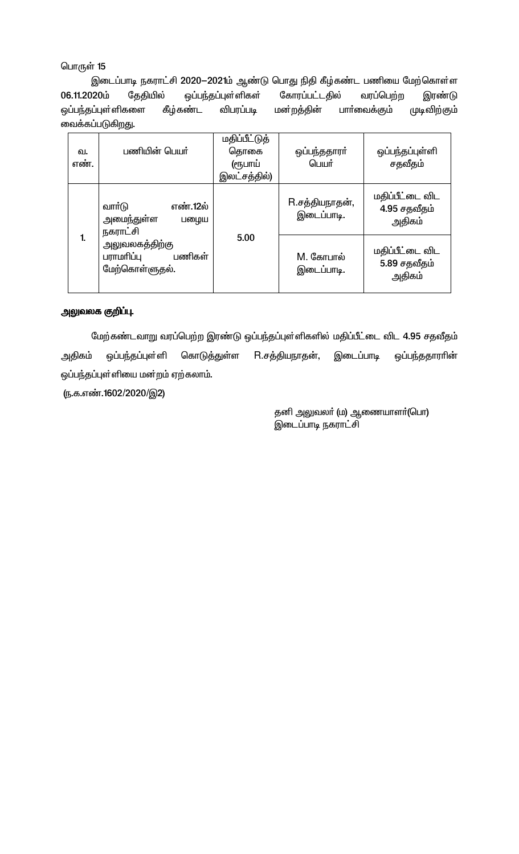இடைப்பாடி நகராட்சி 2020–2021ம் ஆண்டு பொது நிதி கீழ்கண்ட பணியை மேற்கொள்ள 06.11.2020ம் தேதியில் ஒப்பந்தப்புள்ளிகள் கோரப்பட்டதில் வரப்பெற்ற இரண்டு ஒப்பந்தப்புள்ளிகளை கீழ்கண்ட விபரப்படி மன்றத்தின் பாா்வைக்கும் முடிவிற்கும் வைக்கப்படுகிறது.

| வ.<br>எண். | பணியின் பெயர்                                            | <b>மதிப்பீட்டுத்</b><br>தொகை<br>(ரூபாய்<br>இலட்சத்தில்) | ஒப்பந்ததாரா்<br>பெயர்        | ஒப்பந்தப்புள்ளி<br>சதவீதம்                |
|------------|----------------------------------------------------------|---------------------------------------------------------|------------------------------|-------------------------------------------|
|            | வார்டு<br>எண்.12ல்<br>அமைந்துள்ள<br>பழைய<br>நகராட்சி     |                                                         | R.சத்தியநாதன்,<br>இடைப்பாடி. | மதிப்பீட்டை விட<br>4.95 சதவீதம்<br>அதிகம் |
|            | அலுவலகத்திற்கு<br>பராமரிப்பு<br>பணிகள்<br>மேற்கொள்ளுதல். | 5.00                                                    | M. கோபால்<br>இடைப்பாடி.      | மதிப்பீட்டை விட<br>5.89 சதவீதம்<br>அதிகம் |

### அலுவலக குறிப்பு.

மேற்கண்டவாறு வரப்பெற்ற இரண்டு ஒப்பந்தப்புள்ளிகளில் மதிப்பீட்டை விட 4.95 சதவீதம் R.சத்தியநாதன், கொடுத்துள்ள அதிகம் ஒப்பந்தப்புள்ளி இடைப்பாடி ஒப்பந்ததாராின் ஒப்பந்தப்புள்ளியை மன்றம் ஏற்கலாம்.

(ந.க.எண்.1602/2020/இ2)

தனி அலுவலா் (ம) ஆணையாளா்(பொ) இடைப்பாடி நகராட்சி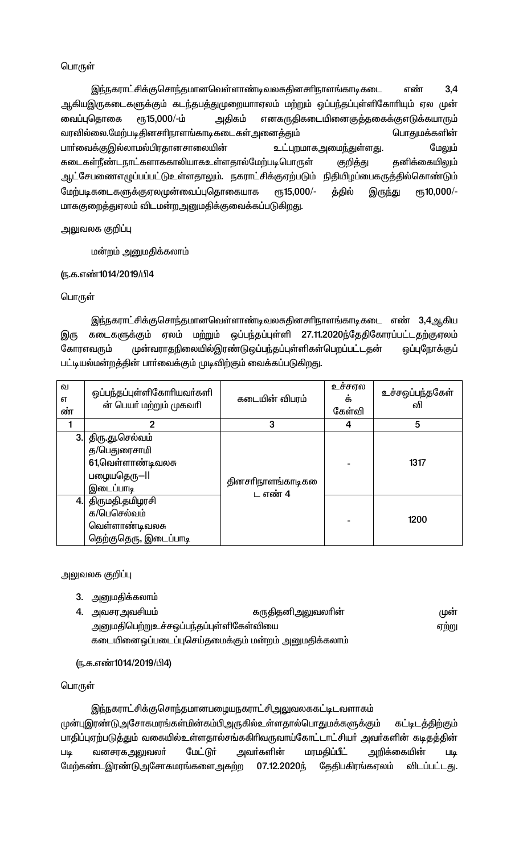இந்நகராட்சிக்குசொந்தமானவெள்ளாண்டிவலசுதினசரிநாளங்காடிகடை  $3.4$ எண் ஆகியஇருகடைகளுக்கும் கடந்தபத்துமுறையாாஏலம் மற்றும் ஒப்பந்தப்புள்ளிகோரியும் ஏல முன் ரு15,000/-ம் அதிகம் எனகருதிகடையினைகுத்தகைக்குஎடுக்கயாரும் வைப்புதொகை வரவில்லை.மேற்படிதினசரிநாளங்காடிகடைகள்அனைத்தும் பொதுமக்களின் மேலும் பாா்வைக்குஇல்லாமல்பிரதானசாலையின் <u>உட்புற</u>மாகஅமை<u>ந்</u>துள்ளது. கடைகள்நீண்டநாட்களாககாலியாகஉள்ளதால்மேற்படிபொருள் தனிக்கையிலும் குறித்து ஆட்சேபணைஎழுப்பப்பட்டுஉள்ளதாலும். நகராட்சிக்குஏற்படும் நிதியிழப்பைகருத்தில்கொண்டும் மேற்படிகடைகளுக்குஏலமுன்வைப்புதொகையாக ет, 15,000/еҧ10,000/-த்தில் இருந்து மாககுறைத்துரலம் விடமன்றஅனுமதிக்குவைக்கப்படுகிறது.

அலுவலக குறிப்பு

மன்றம் அனுமதிக்கலாம்

# ரு.க.எண்1014/2019/பி4

# பொருள்

இந்நகராட்சிக்குசொந்தமானவெள்ளாண்டிவலசுதினசரிநாளங்காடிகடை எண் 3,4ஆகிய ஏலம் மற்றும் ஒப்பந்தப்புள்ளி 27.11.2020ந்தேதிகோரப்பட்டதற்குஏலம் இரு கடைகளுக்கும் கோரஎவரும் முன்வராதநிலையில்இரண்டுஒப்பந்தப்புள்ளிகள்பெறப்பட்டதன் ஒப்புநோக்குப் பட்டியல்மன்றத்தின் பார்வைக்கும் முடிவிற்கும் வைக்கப்படுகிறது.

| ഖ<br>எ<br>ண் | ஒப்பந்தப்புள்ளிகோரியவா்களி<br>ன் பெயா் மற்றும் முகவாி                            | கடையின் விபரம்                | உச்சஎல<br>க்<br>கேள்வி | உச்சஒப்பந்தகேள்<br>ഖി |
|--------------|----------------------------------------------------------------------------------|-------------------------------|------------------------|-----------------------|
|              | 2                                                                                | 3                             | 4                      | 5                     |
| 3.           | திரு.து.செல்வம்<br>த/பெதுரைசாமி<br>61,வெள்ளாண்டிவலசு<br>பழையதெரு-II<br>இடைப்பாடி | தினசரிநாளங்காடிகளை<br>ட எண் 4 |                        | 1317                  |
| 4.1          | திருமதி.தமிழரசி<br>க/பெசெல்வம்<br>வெள்ளாண்டிவலசு<br>தெற்குதெரு, இடைப்பாடி        |                               |                        | 1200                  |

அலுவலக குறி**ப்**பு

3. அனுமதிக்கலாம்

| 4. அவசரஅவசியம்                          | கருதிதனிஅலுவலாின்                                   | முன   |
|-----------------------------------------|-----------------------------------------------------|-------|
| அனுமதிபெற்றுஉச்சஒப்பந்தப்புள்ளிகேள்வியை |                                                     | ஏற்று |
|                                         | கடையினைஒப்படைப்புசெய்தமைக்கும் மன்றம் அனுமதிக்கலாம் |       |

(ந.க.எண்1014/2019/பி4)

# பொருள்

இந்நகராட்சிக்குசொந்தமானபழையநகராட்சிஅலுவலககட்டிடவளாகம் முன்புஇரண்டுஅசோகமரங்கள்மின்கம்பிஅருகில்உள்ளதால்பொதுமக்களுக்கும் கட்டிடத்திற்கும் பாதிப்புஏற்படுத்தும் வகையில்உள்ளதால்சங்ககிரிவருவாய்கோட்டாட்சியா் அவா்களின் கடிதத்தின் மேட்டூர் மரமதிப்பீட் வனசரகஅலுவலா் அவா்களின் அறிக்கையின் **Lilg Lilg** மேற்கண்டஇரண்டுஅசோகமரங்களைஅகற்ற 07.12.2020応 கேகிபகிரங்கஎலம் விடப்பட்டது.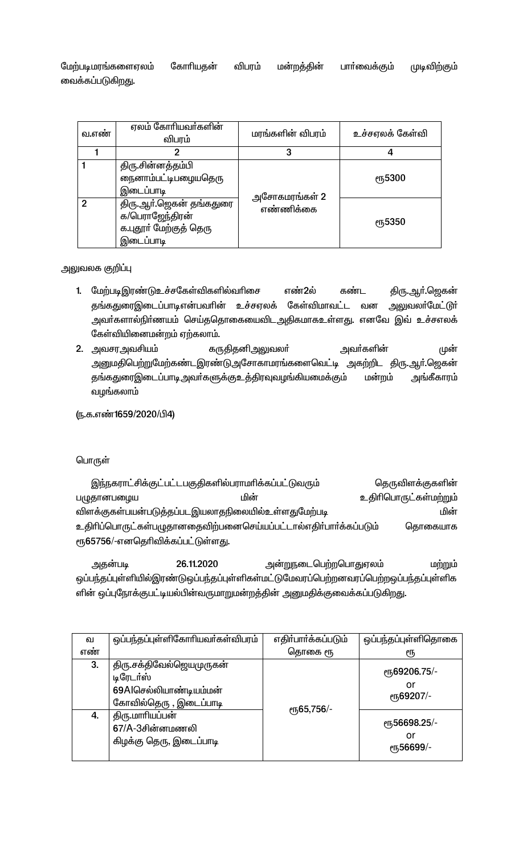விபரம் மேற்படிமரங்களைஏலம் கோரியதன் பாா்வைக்கும் முடிவிற்கும் மன்றத்தின் வைக்கப்படுகிறது.

| வ.எண்         | ஏலம் கோரியவா்களின்<br>விபரம்                                                      | மரங்களின் விபரம்           | உச்சஏலக் கேள்வி |
|---------------|-----------------------------------------------------------------------------------|----------------------------|-----------------|
|               | 2                                                                                 | 3                          | 4               |
|               | திரு சின்னத்தம்பி<br>நைனாம்பட்டிபழையதெரு<br>இடைப்பாடி                             |                            | <b>е</b> ҧ5300  |
| $\mathcal{P}$ | திரு.ஆா்.ஜெகன் தங்கதுரை<br>க/பெராஜேந்திரன்<br>க.புதூா் மேற்குத் தெரு<br>இடைப்பாடி | அசோகமரங்கள் 2<br>எண்ணிக்கை | <b>е</b> ҧ5350  |

அலுவலக குறிப்பு

- 1. மேற்படிஇரண்டுஉச்சகேள்விகளில்வரிசை எண்2ல் கண்ட திரு.ஆா்.ஜெகன் தங்கதுரைஇடைப்பாடிஎன்பவரின் உச்சஏலக் கேள்விமாவட்ட வன அலுவலா்மேட்டூா் அவா்களால்நிா்ணயம் செய்ததொகையைவிடஅதிகமாகஉள்ளது. எனவே இவ் உச்சஎலக் கேள்வியினைமன்றம் ஏற்கலாம்.
- 2. அவசரஅவசியம் கருதிதனிஅலுவலா் அவா்களின் முன் அனுமதிபெற்றுமேற்கண்டஇரண்டுஅசோகாமரங்களைவெட்டி அகற்றிட திரு.ஆர்.ஜெகன் <u>தங்கதுரைஇடைப்பாடி அவா்களுக்குஉத்திரவுவழங்கியமைக்கும்</u> மன்றம் அங்கீகாரம் வழங்கலாம்

ரு.க.எண்1659/2020/பி4)

பொருள்

இந்நகராட்சிக்குட்பட்டபகுதிகளில்பராமரிக்கப்பட்டுவரும் தெருவிளக்குகளின் மின் உதிரிபொருட்கள்மற்றும் பழுதானபழைய மின் விளக்குகள்பயன்படுத்தப்படஇயலாதநிலையில்உள்ளதுமேற்படி உதிரிப்பொருட்கள்பழுதானதைவிற்பனைசெய்யப்பட்டால்எதிர்பார்க்கப்படும் தொகையாக ரூ65756/-எனதெரிவிக்கப்பட்டுள்ளது.

அதன்படி 26.11.2020 அன்றுநடைபெற்றபொதுஏலம் மற்றும் ஒப்பந்தப்புள்ளியில்இரண்டுஒப்பந்தப்புள்ளிகள்மட்டுமேவரப்பெற்றனவரப்பெற்றஒப்பந்தப்புள்ளிக ளின் ஒப்புநோக்குபட்டியல்பின்வருமாறுமன்றத்தின் அனுமதிக்குவைக்கப்படுகிறது.

| ഖ   | ஒப்பந்தப்புள்ளிகோரியவர்கள்விபரம்                                                          | எதிர்பார்க்கப்படும் | ஒப்பந்தப்புள்ளிதொகை                                       |
|-----|-------------------------------------------------------------------------------------------|---------------------|-----------------------------------------------------------|
| எண் |                                                                                           | தொகை ரூ             | €Ҧ                                                        |
| 3.  | திரு.சக்திவேல்ஜெயமுருகன்<br>டிரேடர்ஸ்<br>69Alசெல்லியாண்டியம்மன்<br>கோவில்தெரு , இடைப்பாடி | eҧ65,756/-          | ரு69206.75/-<br>or<br>er <sub>5</sub> 69207/-             |
| 4.  | திரு.மாரியப்பன்<br>67/A-3சின்னமணலி<br>கிழக்கு தெரு, இடைப்பாடி                             |                     | er <sub>5</sub> 56698.25/-<br>or<br><sub>С</sub> п56699/- |